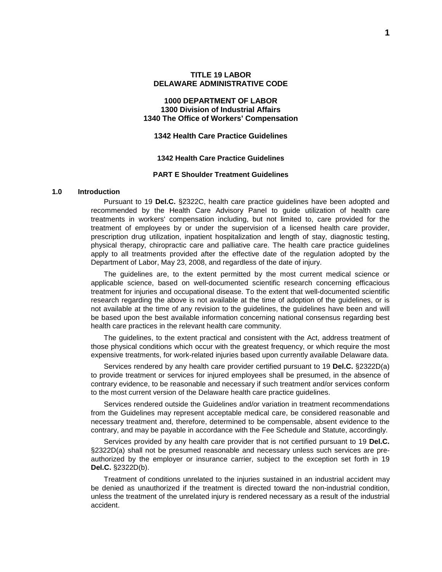### **1000 DEPARTMENT OF LABOR 1300 Division of Industrial Affairs 1340 The Office of Workers' Compensation**

### **1342 Health Care Practice Guidelines**

#### **1342 Health Care Practice Guidelines**

#### **PART E Shoulder Treatment Guidelines**

#### **1.0 Introduction**

Pursuant to 19 **Del.C.** §2322C, health care practice guidelines have been adopted and recommended by the Health Care Advisory Panel to guide utilization of health care treatments in workers' compensation including, but not limited to, care provided for the treatment of employees by or under the supervision of a licensed health care provider, prescription drug utilization, inpatient hospitalization and length of stay, diagnostic testing, physical therapy, chiropractic care and palliative care. The health care practice guidelines apply to all treatments provided after the effective date of the regulation adopted by the Department of Labor, May 23, 2008, and regardless of the date of injury.

The guidelines are, to the extent permitted by the most current medical science or applicable science, based on well-documented scientific research concerning efficacious treatment for injuries and occupational disease. To the extent that well-documented scientific research regarding the above is not available at the time of adoption of the guidelines, or is not available at the time of any revision to the guidelines, the guidelines have been and will be based upon the best available information concerning national consensus regarding best health care practices in the relevant health care community.

The guidelines, to the extent practical and consistent with the Act, address treatment of those physical conditions which occur with the greatest frequency, or which require the most expensive treatments, for work-related injuries based upon currently available Delaware data.

Services rendered by any health care provider certified pursuant to 19 **Del.C.** §2322D(a) to provide treatment or services for injured employees shall be presumed, in the absence of contrary evidence, to be reasonable and necessary if such treatment and/or services conform to the most current version of the Delaware health care practice guidelines.

Services rendered outside the Guidelines and/or variation in treatment recommendations from the Guidelines may represent acceptable medical care, be considered reasonable and necessary treatment and, therefore, determined to be compensable, absent evidence to the contrary, and may be payable in accordance with the Fee Schedule and Statute, accordingly.

Services provided by any health care provider that is not certified pursuant to 19 **Del.C.** §2322D(a) shall not be presumed reasonable and necessary unless such services are preauthorized by the employer or insurance carrier, subject to the exception set forth in 19 **Del.C.** §2322D(b).

Treatment of conditions unrelated to the injuries sustained in an industrial accident may be denied as unauthorized if the treatment is directed toward the non-industrial condition, unless the treatment of the unrelated injury is rendered necessary as a result of the industrial accident.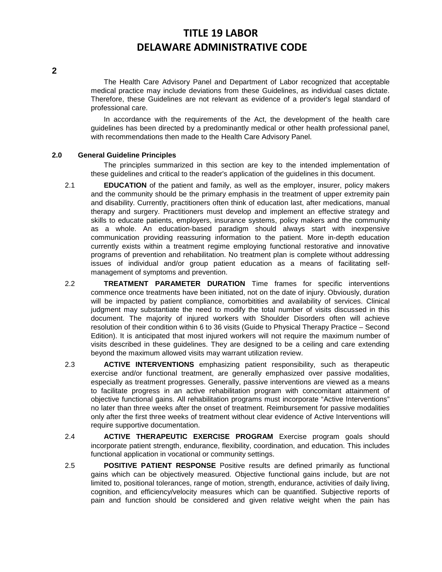The Health Care Advisory Panel and Department of Labor recognized that acceptable medical practice may include deviations from these Guidelines, as individual cases dictate. Therefore, these Guidelines are not relevant as evidence of a provider's legal standard of professional care.

In accordance with the requirements of the Act, the development of the health care guidelines has been directed by a predominantly medical or other health professional panel, with recommendations then made to the Health Care Advisory Panel.

### **2.0 General Guideline Principles**

The principles summarized in this section are key to the intended implementation of these guidelines and critical to the reader's application of the guidelines in this document.

- 2.1 **EDUCATION** of the patient and family, as well as the employer, insurer, policy makers and the community should be the primary emphasis in the treatment of upper extremity pain and disability. Currently, practitioners often think of education last, after medications, manual therapy and surgery. Practitioners must develop and implement an effective strategy and skills to educate patients, employers, insurance systems, policy makers and the community as a whole. An education-based paradigm should always start with inexpensive communication providing reassuring information to the patient. More in-depth education currently exists within a treatment regime employing functional restorative and innovative programs of prevention and rehabilitation. No treatment plan is complete without addressing issues of individual and/or group patient education as a means of facilitating selfmanagement of symptoms and prevention.
- 2.2 **TREATMENT PARAMETER DURATION** Time frames for specific interventions commence once treatments have been initiated, not on the date of injury. Obviously, duration will be impacted by patient compliance, comorbitities and availability of services. Clinical judgment may substantiate the need to modify the total number of visits discussed in this document. The majority of injured workers with Shoulder Disorders often will achieve resolution of their condition within 6 to 36 visits (Guide to Physical Therapy Practice – Second Edition). It is anticipated that most injured workers will not require the maximum number of visits described in these guidelines. They are designed to be a ceiling and care extending beyond the maximum allowed visits may warrant utilization review.
- 2.3 **ACTIVE INTERVENTIONS** emphasizing patient responsibility, such as therapeutic exercise and/or functional treatment, are generally emphasized over passive modalities, especially as treatment progresses. Generally, passive interventions are viewed as a means to facilitate progress in an active rehabilitation program with concomitant attainment of objective functional gains. All rehabilitation programs must incorporate "Active Interventions" no later than three weeks after the onset of treatment. Reimbursement for passive modalities only after the first three weeks of treatment without clear evidence of Active Interventions will require supportive documentation.
- 2.4 **ACTIVE THERAPEUTIC EXERCISE PROGRAM** Exercise program goals should incorporate patient strength, endurance, flexibility, coordination, and education. This includes functional application in vocational or community settings.
- 2.5 **POSITIVE PATIENT RESPONSE** Positive results are defined primarily as functional gains which can be objectively measured. Objective functional gains include, but are not limited to, positional tolerances, range of motion, strength, endurance, activities of daily living, cognition, and efficiency/velocity measures which can be quantified. Subjective reports of pain and function should be considered and given relative weight when the pain has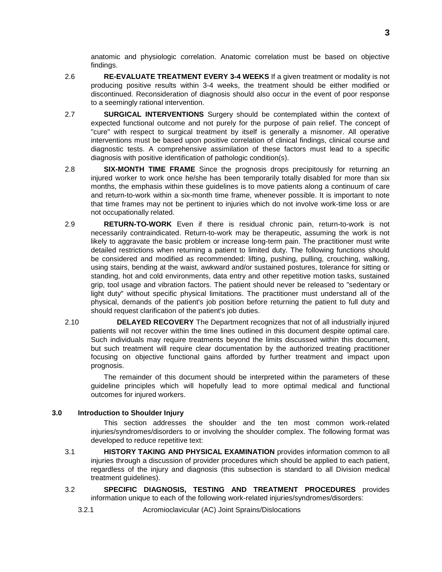anatomic and physiologic correlation. Anatomic correlation must be based on objective findings.

- 2.6 **RE-EVALUATE TREATMENT EVERY 3-4 WEEKS** If a given treatment or modality is not producing positive results within 3-4 weeks, the treatment should be either modified or discontinued. Reconsideration of diagnosis should also occur in the event of poor response to a seemingly rational intervention.
- 2.7 **SURGICAL INTERVENTIONS** Surgery should be contemplated within the context of expected functional outcome and not purely for the purpose of pain relief. The concept of "cure" with respect to surgical treatment by itself is generally a misnomer. All operative interventions must be based upon positive correlation of clinical findings, clinical course and diagnostic tests. A comprehensive assimilation of these factors must lead to a specific diagnosis with positive identification of pathologic condition(s).
- 2.8 **SIX-MONTH TIME FRAME** Since the prognosis drops precipitously for returning an injured worker to work once he/she has been temporarily totally disabled for more than six months, the emphasis within these guidelines is to move patients along a continuum of care and return-to-work within a six-month time frame, whenever possible. It is important to note that time frames may not be pertinent to injuries which do not involve work-time loss or are not occupationally related.
- 2.9 **RETURN-TO-WORK** Even if there is residual chronic pain, return-to-work is not necessarily contraindicated. Return-to-work may be therapeutic, assuming the work is not likely to aggravate the basic problem or increase long-term pain. The practitioner must write detailed restrictions when returning a patient to limited duty. The following functions should be considered and modified as recommended: lifting, pushing, pulling, crouching, walking, using stairs, bending at the waist, awkward and/or sustained postures, tolerance for sitting or standing, hot and cold environments, data entry and other repetitive motion tasks, sustained grip, tool usage and vibration factors. The patient should never be released to "sedentary or light duty" without specific physical limitations. The practitioner must understand all of the physical, demands of the patient's job position before returning the patient to full duty and should request clarification of the patient's job duties.
- 2.10 **DELAYED RECOVERY** The Department recognizes that not of all industrially injured patients will not recover within the time lines outlined in this document despite optimal care. Such individuals may require treatments beyond the limits discussed within this document, but such treatment will require clear documentation by the authorized treating practitioner focusing on objective functional gains afforded by further treatment and impact upon prognosis.

The remainder of this document should be interpreted within the parameters of these guideline principles which will hopefully lead to more optimal medical and functional outcomes for injured workers.

### **3.0 Introduction to Shoulder Injury**

This section addresses the shoulder and the ten most common work-related injuries/syndromes/disorders to or involving the shoulder complex. The following format was developed to reduce repetitive text:

- 3.1 **HISTORY TAKING AND PHYSICAL EXAMINATION** provides information common to all injuries through a discussion of provider procedures which should be applied to each patient, regardless of the injury and diagnosis (this subsection is standard to all Division medical treatment guidelines).
- 3.2 **SPECIFIC DIAGNOSIS, TESTING AND TREATMENT PROCEDURES** provides information unique to each of the following work-related injuries/syndromes/disorders:

3.2.1 Acromioclavicular (AC) Joint Sprains/Dislocations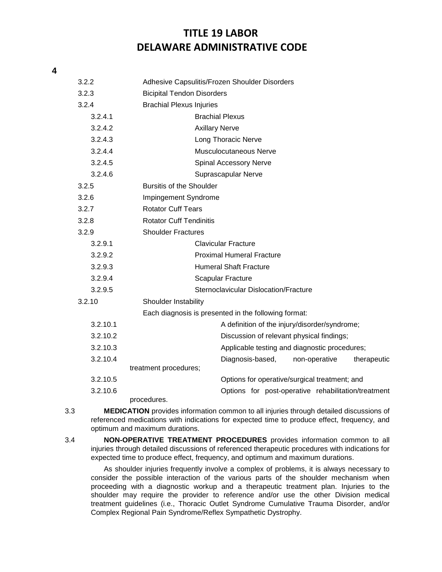### **4**

| 3.2.2    | Adhesive Capsulitis/Frozen Shoulder Disorders        |  |  |  |  |
|----------|------------------------------------------------------|--|--|--|--|
| 3.2.3    | <b>Bicipital Tendon Disorders</b>                    |  |  |  |  |
| 3.2.4    | <b>Brachial Plexus Injuries</b>                      |  |  |  |  |
| 3.2.4.1  | <b>Brachial Plexus</b>                               |  |  |  |  |
| 3.2.4.2  | <b>Axillary Nerve</b>                                |  |  |  |  |
| 3.2.4.3  | Long Thoracic Nerve                                  |  |  |  |  |
| 3.2.4.4  | Musculocutaneous Nerve                               |  |  |  |  |
| 3.2.4.5  | <b>Spinal Accessory Nerve</b>                        |  |  |  |  |
| 3.2.4.6  | Suprascapular Nerve                                  |  |  |  |  |
| 3.2.5    | <b>Bursitis of the Shoulder</b>                      |  |  |  |  |
| 3.2.6    | Impingement Syndrome                                 |  |  |  |  |
| 3.2.7    | <b>Rotator Cuff Tears</b>                            |  |  |  |  |
| 3.2.8    | <b>Rotator Cuff Tendinitis</b>                       |  |  |  |  |
| 3.2.9    | <b>Shoulder Fractures</b>                            |  |  |  |  |
| 3.2.9.1  | <b>Clavicular Fracture</b>                           |  |  |  |  |
| 3.2.9.2  | <b>Proximal Humeral Fracture</b>                     |  |  |  |  |
| 3.2.9.3  | <b>Humeral Shaft Fracture</b>                        |  |  |  |  |
| 3.2.9.4  | <b>Scapular Fracture</b>                             |  |  |  |  |
| 3.2.9.5  | Sternoclavicular Dislocation/Fracture                |  |  |  |  |
| 3.2.10   | Shoulder Instability                                 |  |  |  |  |
|          | Each diagnosis is presented in the following format: |  |  |  |  |
| 3.2.10.1 | A definition of the injury/disorder/syndrome;        |  |  |  |  |
| 3.2.10.2 | Discussion of relevant physical findings;            |  |  |  |  |
| 3.2.10.3 | Applicable testing and diagnostic procedures;        |  |  |  |  |
| 3.2.10.4 | Diagnosis-based,<br>non-operative<br>therapeutic     |  |  |  |  |
|          | treatment procedures;                                |  |  |  |  |
| 3.2.10.5 | Options for operative/surgical treatment; and        |  |  |  |  |
| 3.2.10.6 | Options for post-operative rehabilitation/treatment  |  |  |  |  |
|          | procedures.                                          |  |  |  |  |

3.3 **MEDICATION** provides information common to all injuries through detailed discussions of referenced medications with indications for expected time to produce effect, frequency, and optimum and maximum durations.

3.4 **NON-OPERATIVE TREATMENT PROCEDURES** provides information common to all injuries through detailed discussions of referenced therapeutic procedures with indications for expected time to produce effect, frequency, and optimum and maximum durations.

As shoulder injuries frequently involve a complex of problems, it is always necessary to consider the possible interaction of the various parts of the shoulder mechanism when proceeding with a diagnostic workup and a therapeutic treatment plan. Injuries to the shoulder may require the provider to reference and/or use the other Division medical treatment guidelines (i.e., Thoracic Outlet Syndrome Cumulative Trauma Disorder, and/or Complex Regional Pain Syndrome/Reflex Sympathetic Dystrophy.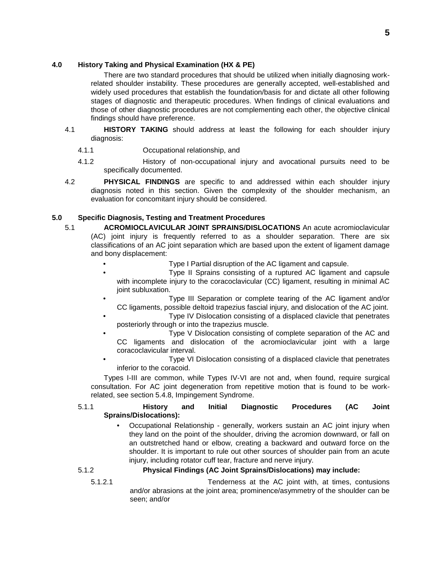### **4.0 History Taking and Physical Examination (HX & PE)**

There are two standard procedures that should be utilized when initially diagnosing workrelated shoulder instability. These procedures are generally accepted, well-established and widely used procedures that establish the foundation/basis for and dictate all other following stages of diagnostic and therapeutic procedures. When findings of clinical evaluations and those of other diagnostic procedures are not complementing each other, the objective clinical findings should have preference.

- 4.1 **HISTORY TAKING** should address at least the following for each shoulder injury diagnosis:
	- 4.1.1 Occupational relationship, and
	- 4.1.2 History of non-occupational injury and avocational pursuits need to be specifically documented.
- 4.2 **PHYSICAL FINDINGS** are specific to and addressed within each shoulder injury diagnosis noted in this section. Given the complexity of the shoulder mechanism, an evaluation for concomitant injury should be considered.

### **5.0 Specific Diagnosis, Testing and Treatment Procedures**

- 5.1 **ACROMIOCLAVICULAR JOINT SPRAINS/DISLOCATIONS** An acute acromioclavicular (AC) joint injury is frequently referred to as a shoulder separation. There are six classifications of an AC joint separation which are based upon the extent of ligament damage and bony displacement:
	- Type I Partial disruption of the AC ligament and capsule.
	- Type II Sprains consisting of a ruptured AC ligament and capsule with incomplete injury to the coracoclavicular (CC) ligament, resulting in minimal AC joint subluxation.
	- Type III Separation or complete tearing of the AC ligament and/or CC ligaments, possible deltoid trapezius fascial injury, and dislocation of the AC joint.
	- Type IV Dislocation consisting of a displaced clavicle that penetrates posteriorly through or into the trapezius muscle.
	- Type V Dislocation consisting of complete separation of the AC and CC ligaments and dislocation of the acromioclavicular joint with a large coracoclavicular interval.
	- Type VI Dislocation consisting of a displaced clavicle that penetrates inferior to the coracoid.

Types I-III are common, while Types IV-VI are not and, when found, require surgical consultation. For AC joint degeneration from repetitive motion that is found to be workrelated, see section 5.4.8, Impingement Syndrome.

### 5.1.1 **History and Initial Diagnostic Procedures (AC Joint Sprains/Dislocations):**

• Occupational Relationship - generally, workers sustain an AC joint injury when they land on the point of the shoulder, driving the acromion downward, or fall on an outstretched hand or elbow, creating a backward and outward force on the shoulder. It is important to rule out other sources of shoulder pain from an acute injury, including rotator cuff tear, fracture and nerve injury.

### 5.1.2 **Physical Findings (AC Joint Sprains/Dislocations) may include:**

5.1.2.1 Tenderness at the AC joint with, at times, contusions and/or abrasions at the joint area; prominence/asymmetry of the shoulder can be seen; and/or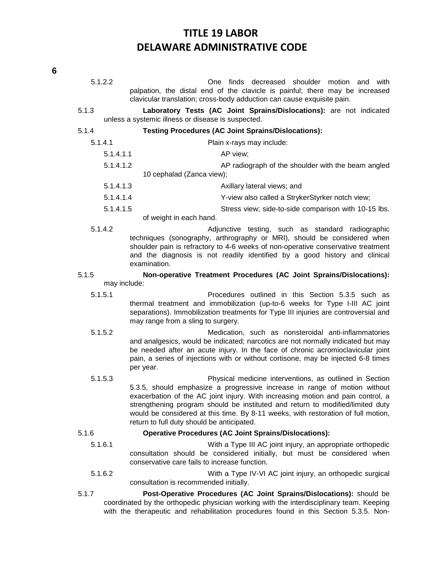- 5.1.2.2 One finds decreased shoulder motion and with palpation, the distal end of the clavicle is painful; there may be increased clavicular translation; cross-body adduction can cause exquisite pain.
- 5.1.3 **Laboratory Tests (AC Joint Sprains/Dislocations):** are not indicated unless a systemic illness or disease is suspected.

5.1.4 **Testing Procedures (AC Joint Sprains/Dislocations):**

- 5.1.4.1 Plain x-rays may include: 5.1.4.1.1 **AP** view; 5.1.4.1.2 AP radiograph of the shoulder with the beam angled 10 cephalad (Zanca view); 5.1.4.1.3 Axillary lateral views; and
	- 5.1.4.1.4 Y-view also called a StrykerStyrker notch view; 5.1.4.1.5 Stress view; side-to-side comparison with 10-15 lbs.
		- of weight in each hand.
- 5.1.4.2 Adjunctive testing, such as standard radiographic techniques (sonography, arthrography or MRI), should be considered when shoulder pain is refractory to 4-6 weeks of non-operative conservative treatment and the diagnosis is not readily identified by a good history and clinical examination.
- 5.1.5 **Non-operative Treatment Procedures (AC Joint Sprains/Dislocations):** may include:
	-
	- 5.1.5.1 Procedures outlined in this Section 5.3.5 such as thermal treatment and immobilization (up-to-6 weeks for Type I-III AC joint separations). Immobilization treatments for Type III injuries are controversial and may range from a sling to surgery.
	- 5.1.5.2 Medication, such as nonsteroidal anti-inflammatories and analgesics, would be indicated; narcotics are not normally indicated but may be needed after an acute injury. In the face of chronic acromioclavicular joint pain, a series of injections with or without cortisone, may be injected 6-8 times per year.
	- 5.1.5.3 Physical medicine interventions, as outlined in Section 5.3.5, should emphasize a progressive increase in range of motion without exacerbation of the AC joint injury. With increasing motion and pain control, a strengthening program should be instituted and return to modified/limited duty would be considered at this time. By 8-11 weeks, with restoration of full motion, return to full duty should be anticipated.

#### 5.1.6 **Operative Procedures (AC Joint Sprains/Dislocations):**

- 5.1.6.1 With a Type III AC joint injury, an appropriate orthopedic consultation should be considered initially, but must be considered when conservative care fails to increase function.
- 5.1.6.2 With a Type IV-VI AC joint injury, an orthopedic surgical consultation is recommended initially.
- 5.1.7 **Post-Operative Procedures (AC Joint Sprains/Dislocations):** should be coordinated by the orthopedic physician working with the interdisciplinary team. Keeping with the therapeutic and rehabilitation procedures found in this Section 5.3.5. Non-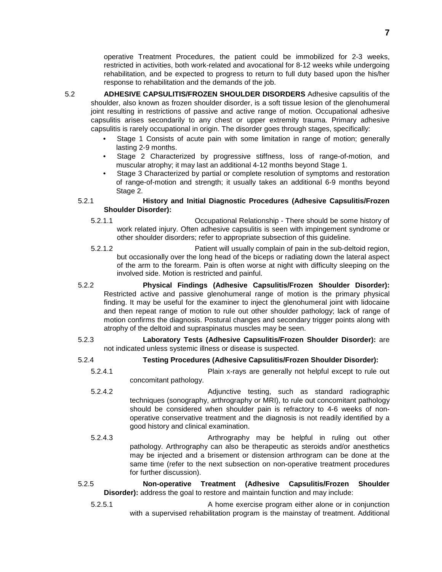operative Treatment Procedures, the patient could be immobilized for 2-3 weeks, restricted in activities, both work-related and avocational for 8-12 weeks while undergoing rehabilitation, and be expected to progress to return to full duty based upon the his/her response to rehabilitation and the demands of the job.

- 5.2 **ADHESIVE CAPSULITIS/FROZEN SHOULDER DISORDERS** Adhesive capsulitis of the shoulder, also known as frozen shoulder disorder, is a soft tissue lesion of the glenohumeral joint resulting in restrictions of passive and active range of motion. Occupational adhesive capsulitis arises secondarily to any chest or upper extremity trauma. Primary adhesive capsulitis is rarely occupational in origin. The disorder goes through stages, specifically:
	- Stage 1 Consists of acute pain with some limitation in range of motion; generally lasting 2-9 months.
	- Stage 2 Characterized by progressive stiffness, loss of range-of-motion, and muscular atrophy; it may last an additional 4-12 months beyond Stage 1.
	- Stage 3 Characterized by partial or complete resolution of symptoms and restoration of range-of-motion and strength; it usually takes an additional 6-9 months beyond Stage 2.

### 5.2.1 **History and Initial Diagnostic Procedures (Adhesive Capsulitis/Frozen Shoulder Disorder):**

- 5.2.1.1 Occupational Relationship There should be some history of work related injury. Often adhesive capsulitis is seen with impingement syndrome or other shoulder disorders; refer to appropriate subsection of this guideline.
- 5.2.1.2 Patient will usually complain of pain in the sub-deltoid region, but occasionally over the long head of the biceps or radiating down the lateral aspect of the arm to the forearm. Pain is often worse at night with difficulty sleeping on the involved side. Motion is restricted and painful.
- 5.2.2 **Physical Findings (Adhesive Capsulitis/Frozen Shoulder Disorder):** Restricted active and passive glenohumeral range of motion is the primary physical finding. It may be useful for the examiner to inject the glenohumeral joint with lidocaine and then repeat range of motion to rule out other shoulder pathology; lack of range of motion confirms the diagnosis. Postural changes and secondary trigger points along with atrophy of the deltoid and supraspinatus muscles may be seen.

### 5.2.3 **Laboratory Tests (Adhesive Capsulitis/Frozen Shoulder Disorder):** are not indicated unless systemic illness or disease is suspected.

- 5.2.4 **Testing Procedures (Adhesive Capsulitis/Frozen Shoulder Disorder):**
	- 5.2.4.1 Plain x-rays are generally not helpful except to rule out concomitant pathology.
	- 5.2.4.2 Adjunctive testing, such as standard radiographic techniques (sonography, arthrography or MRI), to rule out concomitant pathology should be considered when shoulder pain is refractory to 4-6 weeks of nonoperative conservative treatment and the diagnosis is not readily identified by a good history and clinical examination.
	- 5.2.4.3 Arthrography may be helpful in ruling out other pathology. Arthrography can also be therapeutic as steroids and/or anesthetics may be injected and a brisement or distension arthrogram can be done at the same time (refer to the next subsection on non-operative treatment procedures for further discussion).

### 5.2.5 **Non-operative Treatment (Adhesive Capsulitis/Frozen Shoulder Disorder):** address the goal to restore and maintain function and may include:

5.2.5.1 A home exercise program either alone or in conjunction with a supervised rehabilitation program is the mainstay of treatment. Additional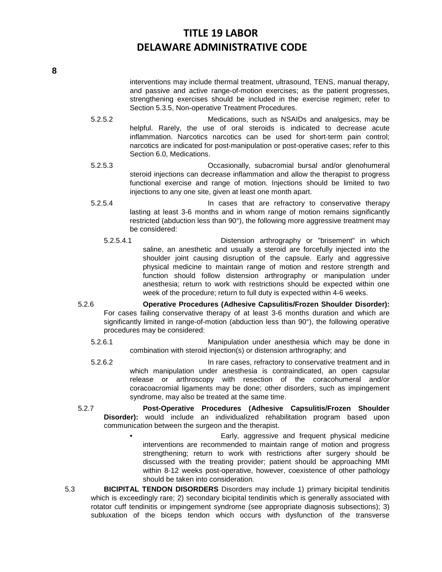interventions may include thermal treatment, ultrasound, TENS, manual therapy, and passive and active range-of-motion exercises; as the patient progresses, strengthening exercises should be included in the exercise regimen; refer to Section 5.3.5, Non-operative Treatment Procedures.

- 5.2.5.2 Medications, such as NSAIDs and analgesics, may be helpful. Rarely, the use of oral steroids is indicated to decrease acute inflammation. Narcotics narcotics can be used for short-term pain control; narcotics are indicated for post-manipulation or post-operative cases; refer to this Section 6.0, Medications.
- 5.2.5.3 Occasionally, subacromial bursal and/or glenohumeral steroid injections can decrease inflammation and allow the therapist to progress functional exercise and range of motion. Injections should be limited to two injections to any one site, given at least one month apart.
- 5.2.5.4 In cases that are refractory to conservative therapy lasting at least 3-6 months and in whom range of motion remains significantly restricted (abduction less than 90°), the following more aggressive treatment may be considered:
	- 5.2.5.4.1 Distension arthrography or "brisement" in which saline, an anesthetic and usually a steroid are forcefully injected into the shoulder joint causing disruption of the capsule. Early and aggressive physical medicine to maintain range of motion and restore strength and function should follow distension arthrography or manipulation under anesthesia; return to work with restrictions should be expected within one week of the procedure; return to full duty is expected within 4-6 weeks.
- 5.2.6 **Operative Procedures (Adhesive Capsulitis/Frozen Shoulder Disorder):** For cases failing conservative therapy of at least 3-6 months duration and which are significantly limited in range-of-motion (abduction less than 90°), the following operative procedures may be considered:
	- 5.2.6.1 Manipulation under anesthesia which may be done in combination with steroid injection(s) or distension arthrography; and
	- 5.2.6.2 In rare cases, refractory to conservative treatment and in which manipulation under anesthesia is contraindicated, an open capsular release or arthroscopy with resection of the coracohumeral and/or coracoacromial ligaments may be done; other disorders, such as impingement syndrome, may also be treated at the same time.
- 5.2.7 **Post-Operative Procedures (Adhesive Capsulitis/Frozen Shoulder Disorder):** would include an individualized rehabilitation program based upon communication between the surgeon and the therapist.
	- Early, aggressive and frequent physical medicine interventions are recommended to maintain range of motion and progress strengthening; return to work with restrictions after surgery should be discussed with the treating provider; patient should be approaching MMI within 8-12 weeks post-operative, however, coexistence of other pathology should be taken into consideration.
- 5.3 **BICIPITAL TENDON DISORDERS** Disorders may include 1) primary bicipital tendinitis which is exceedingly rare; 2) secondary bicipital tendinitis which is generally associated with rotator cuff tendinitis or impingement syndrome (see appropriate diagnosis subsections); 3) subluxation of the biceps tendon which occurs with dysfunction of the transverse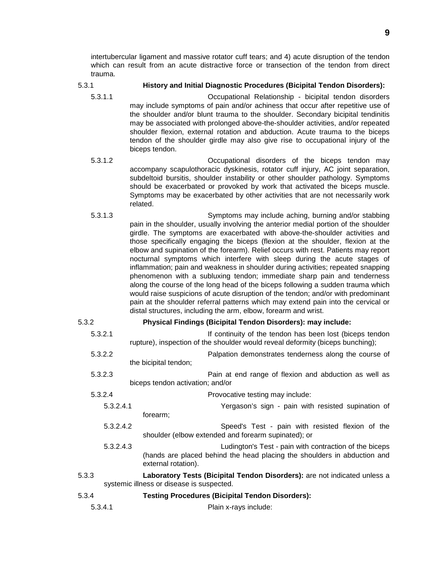intertubercular ligament and massive rotator cuff tears; and 4) acute disruption of the tendon which can result from an acute distractive force or transection of the tendon from direct trauma.

### 5.3.1 **History and Initial Diagnostic Procedures (Bicipital Tendon Disorders):**

- 5.3.1.1 Occupational Relationship bicipital tendon disorders may include symptoms of pain and/or achiness that occur after repetitive use of the shoulder and/or blunt trauma to the shoulder. Secondary bicipital tendinitis may be associated with prolonged above-the-shoulder activities, and/or repeated shoulder flexion, external rotation and abduction. Acute trauma to the biceps tendon of the shoulder girdle may also give rise to occupational injury of the biceps tendon.
- 5.3.1.2 Occupational disorders of the biceps tendon may accompany scapulothoracic dyskinesis, rotator cuff injury, AC joint separation, subdeltoid bursitis, shoulder instability or other shoulder pathology. Symptoms should be exacerbated or provoked by work that activated the biceps muscle. Symptoms may be exacerbated by other activities that are not necessarily work related.
- 5.3.1.3 Symptoms may include aching, burning and/or stabbing pain in the shoulder, usually involving the anterior medial portion of the shoulder girdle. The symptoms are exacerbated with above-the-shoulder activities and those specifically engaging the biceps (flexion at the shoulder, flexion at the elbow and supination of the forearm). Relief occurs with rest. Patients may report nocturnal symptoms which interfere with sleep during the acute stages of inflammation; pain and weakness in shoulder during activities; repeated snapping phenomenon with a subluxing tendon; immediate sharp pain and tenderness along the course of the long head of the biceps following a sudden trauma which would raise suspicions of acute disruption of the tendon; and/or with predominant pain at the shoulder referral patterns which may extend pain into the cervical or distal structures, including the arm, elbow, forearm and wrist.

#### 5.3.2 **Physical Findings (Bicipital Tendon Disorders): may include:**

- 5.3.2.1 If continuity of the tendon has been lost (biceps tendon rupture), inspection of the shoulder would reveal deformity (biceps bunching);
- 5.3.2.2 Palpation demonstrates tenderness along the course of the bicipital tendon;
- 5.3.2.3 Pain at end range of flexion and abduction as well as biceps tendon activation; and/or
- 5.3.2.4 Provocative testing may include: 5.3.2.4.1 Yergason's sign - pain with resisted supination of forearm;
	- 5.3.2.4.2 Speed's Test pain with resisted flexion of the shoulder (elbow extended and forearm supinated); or
	- 5.3.2.4.3 Ludington's Test pain with contraction of the biceps (hands are placed behind the head placing the shoulders in abduction and external rotation).
- 5.3.3 **Laboratory Tests (Bicipital Tendon Disorders):** are not indicated unless a systemic illness or disease is suspected.
- 5.3.4 **Testing Procedures (Bicipital Tendon Disorders):**
	- 5.3.4.1 Plain x-rays include: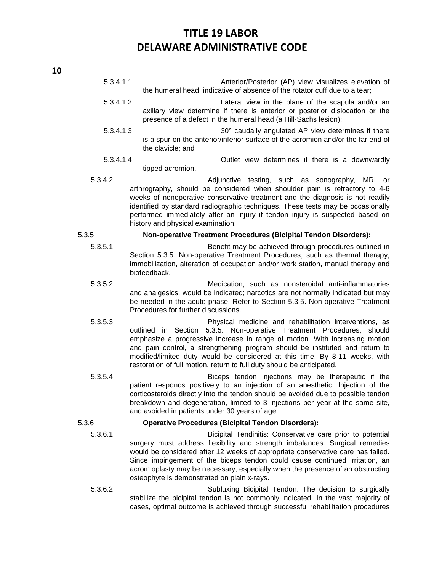- 5.3.4.1.1 Anterior/Posterior (AP) view visualizes elevation of the humeral head, indicative of absence of the rotator cuff due to a tear;
- 5.3.4.1.2 Lateral view in the plane of the scapula and/or an axillary view determine if there is anterior or posterior dislocation or the presence of a defect in the humeral head (a Hill-Sachs lesion);
- 5.3.4.1.3 **30°** caudally angulated AP view determines if there is a spur on the anterior/inferior surface of the acromion and/or the far end of the clavicle; and
- 5.3.4.1.4 Outlet view determines if there is a downwardly tipped acromion.
- 5.3.4.2 Adjunctive testing, such as sonography, MRI or arthrography, should be considered when shoulder pain is refractory to 4-6 weeks of nonoperative conservative treatment and the diagnosis is not readily identified by standard radiographic techniques. These tests may be occasionally performed immediately after an injury if tendon injury is suspected based on history and physical examination.

#### 5.3.5 **Non-operative Treatment Procedures (Bicipital Tendon Disorders):**

- 5.3.5.1 Benefit may be achieved through procedures outlined in Section 5.3.5. Non-operative Treatment Procedures, such as thermal therapy, immobilization, alteration of occupation and/or work station, manual therapy and biofeedback.
- 5.3.5.2 Medication, such as nonsteroidal anti-inflammatories and analgesics, would be indicated; narcotics are not normally indicated but may be needed in the acute phase. Refer to Section 5.3.5. Non-operative Treatment Procedures for further discussions.
- 5.3.5.3 Physical medicine and rehabilitation interventions, as outlined in Section 5.3.5. Non-operative Treatment Procedures, should emphasize a progressive increase in range of motion. With increasing motion and pain control, a strengthening program should be instituted and return to modified/limited duty would be considered at this time. By 8-11 weeks, with restoration of full motion, return to full duty should be anticipated.
- 5.3.5.4 Biceps tendon injections may be therapeutic if the patient responds positively to an injection of an anesthetic. Injection of the corticosteroids directly into the tendon should be avoided due to possible tendon breakdown and degeneration, limited to 3 injections per year at the same site, and avoided in patients under 30 years of age.

### 5.3.6 **Operative Procedures (Bicipital Tendon Disorders):**

- 5.3.6.1 Bicipital Tendinitis: Conservative care prior to potential surgery must address flexibility and strength imbalances. Surgical remedies would be considered after 12 weeks of appropriate conservative care has failed. Since impingement of the biceps tendon could cause continued irritation, an acromioplasty may be necessary, especially when the presence of an obstructing osteophyte is demonstrated on plain x-rays.
- 5.3.6.2 Subluxing Bicipital Tendon: The decision to surgically stabilize the bicipital tendon is not commonly indicated. In the vast majority of cases, optimal outcome is achieved through successful rehabilitation procedures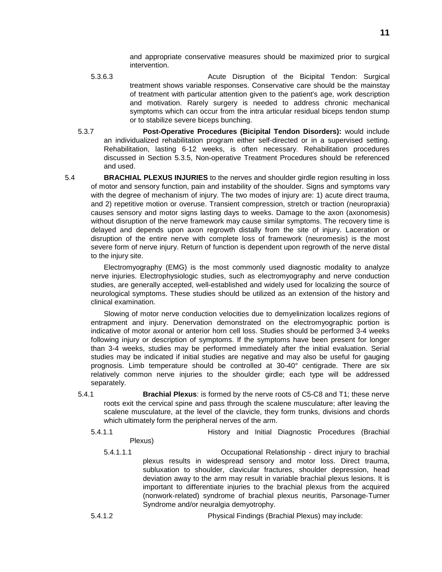and appropriate conservative measures should be maximized prior to surgical intervention.

- 5.3.6.3 Acute Disruption of the Bicipital Tendon: Surgical treatment shows variable responses. Conservative care should be the mainstay of treatment with particular attention given to the patient's age, work description and motivation. Rarely surgery is needed to address chronic mechanical symptoms which can occur from the intra articular residual biceps tendon stump or to stabilize severe biceps bunching.
- 5.3.7 **Post-Operative Procedures (Bicipital Tendon Disorders):** would include an individualized rehabilitation program either self-directed or in a supervised setting. Rehabilitation, lasting 6-12 weeks, is often necessary. Rehabilitation procedures discussed in Section 5.3.5, Non-operative Treatment Procedures should be referenced and used.

5.4 **BRACHIAL PLEXUS INJURIES** to the nerves and shoulder girdle region resulting in loss of motor and sensory function, pain and instability of the shoulder. Signs and symptoms vary with the degree of mechanism of injury. The two modes of injury are: 1) acute direct trauma, and 2) repetitive motion or overuse. Transient compression, stretch or traction (neuropraxia) causes sensory and motor signs lasting days to weeks. Damage to the axon (axonomesis) without disruption of the nerve framework may cause similar symptoms. The recovery time is delayed and depends upon axon regrowth distally from the site of injury. Laceration or disruption of the entire nerve with complete loss of framework (neuromesis) is the most severe form of nerve injury. Return of function is dependent upon regrowth of the nerve distal to the injury site.

Electromyography (EMG) is the most commonly used diagnostic modality to analyze nerve injuries. Electrophysiologic studies, such as electromyography and nerve conduction studies, are generally accepted, well-established and widely used for localizing the source of neurological symptoms. These studies should be utilized as an extension of the history and clinical examination.

Slowing of motor nerve conduction velocities due to demyelinization localizes regions of entrapment and injury. Denervation demonstrated on the electromyographic portion is indicative of motor axonal or anterior horn cell loss. Studies should be performed 3-4 weeks following injury or description of symptoms. If the symptoms have been present for longer than 3-4 weeks, studies may be performed immediately after the initial evaluation. Serial studies may be indicated if initial studies are negative and may also be useful for gauging prognosis. Limb temperature should be controlled at 30-40° centigrade. There are six relatively common nerve injuries to the shoulder girdle; each type will be addressed separately.

- 5.4.1 **Brachial Plexus**: is formed by the nerve roots of C5-C8 and T1; these nerve roots exit the cervical spine and pass through the scalene musculature; after leaving the scalene musculature, at the level of the clavicle, they form trunks, divisions and chords which ultimately form the peripheral nerves of the arm.
	- 5.4.1.1 History and Initial Diagnostic Procedures (Brachial Plexus)
		- 5.4.1.1.1 Occupational Relationship direct injury to brachial plexus results in widespread sensory and motor loss. Direct trauma, subluxation to shoulder, clavicular fractures, shoulder depression, head deviation away to the arm may result in variable brachial plexus lesions. It is important to differentiate injuries to the brachial plexus from the acquired (nonwork-related) syndrome of brachial plexus neuritis, Parsonage-Turner Syndrome and/or neuralgia demyotrophy.

5.4.1.2 Physical Findings (Brachial Plexus) may include: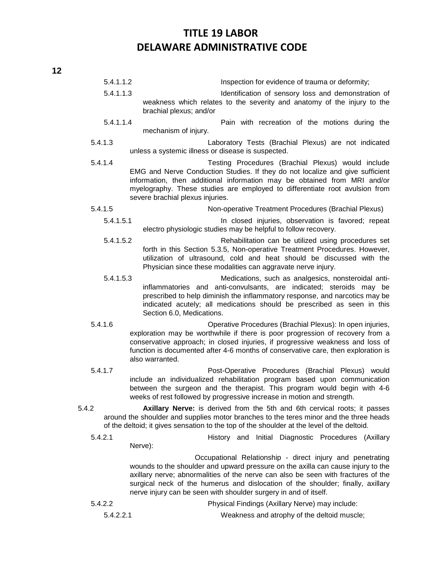| 5.4.1.1.2 | Inspection for evidence of trauma or deformity;                                                                                                                                                                                                                                                                                                                                           |  |
|-----------|-------------------------------------------------------------------------------------------------------------------------------------------------------------------------------------------------------------------------------------------------------------------------------------------------------------------------------------------------------------------------------------------|--|
| 5.4.1.1.3 | Identification of sensory loss and demonstration of<br>weakness which relates to the severity and anatomy of the injury to the<br>brachial plexus; and/or                                                                                                                                                                                                                                 |  |
| 5.4.1.1.4 | Pain with recreation of the motions during the<br>mechanism of injury.                                                                                                                                                                                                                                                                                                                    |  |
| 5.4.1.3   | Laboratory Tests (Brachial Plexus) are not indicated<br>unless a systemic illness or disease is suspected.                                                                                                                                                                                                                                                                                |  |
| 5.4.1.4   | Testing Procedures (Brachial Plexus) would include<br>EMG and Nerve Conduction Studies. If they do not localize and give sufficient<br>information, then additional information may be obtained from MRI and/or<br>myelography. These studies are employed to differentiate root avulsion from<br>severe brachial plexus injuries.                                                        |  |
| 5.4.1.5   | Non-operative Treatment Procedures (Brachial Plexus)                                                                                                                                                                                                                                                                                                                                      |  |
| 5.4.1.5.1 | In closed injuries, observation is favored; repeat<br>electro physiologic studies may be helpful to follow recovery.                                                                                                                                                                                                                                                                      |  |
| 5.4.1.5.2 | Rehabilitation can be utilized using procedures set<br>forth in this Section 5.3.5, Non-operative Treatment Procedures. However,<br>utilization of ultrasound, cold and heat should be discussed with the<br>Physician since these modalities can aggravate nerve injury.                                                                                                                 |  |
| 5.4.1.5.3 | Medications, such as analgesics, nonsteroidal anti-<br>inflammatories and anti-convulsants, are indicated; steroids may be<br>prescribed to help diminish the inflammatory response, and narcotics may be<br>indicated acutely; all medications should be prescribed as seen in this<br>Section 6.0, Medications.                                                                         |  |
| 5.4.1.6   | Operative Procedures (Brachial Plexus): In open injuries,<br>exploration may be worthwhile if there is poor progression of recovery from a<br>conservative approach; in closed injuries, if progressive weakness and loss of<br>function is documented after 4-6 months of conservative care, then exploration is<br>also warranted.                                                      |  |
| 5.4.1.7   | Post-Operative Procedures (Brachial Plexus) would<br>include an individualized rehabilitation program based upon communication<br>between the surgeon and the therapist. This program would begin with 4-6<br>weeks of rest followed by progressive increase in motion and strength.                                                                                                      |  |
| 5.4.2     | Axillary Nerve: is derived from the 5th and 6th cervical roots; it passes<br>around the shoulder and supplies motor branches to the teres minor and the three heads<br>of the deltoid; it gives sensation to the top of the shoulder at the level of the deltoid.                                                                                                                         |  |
| 5.4.2.1   | History and Initial Diagnostic Procedures (Axillary<br>Nerve):                                                                                                                                                                                                                                                                                                                            |  |
|           | Occupational Relationship - direct injury and penetrating<br>wounds to the shoulder and upward pressure on the axilla can cause injury to the<br>axillary nerve; abnormalities of the nerve can also be seen with fractures of the<br>surgical neck of the humerus and dislocation of the shoulder; finally, axillary<br>nerve injury can be seen with shoulder surgery in and of itself. |  |
| 5.4.2.2   | Physical Findings (Axillary Nerve) may include:                                                                                                                                                                                                                                                                                                                                           |  |
| 5.4.2.2.1 | Weakness and atrophy of the deltoid muscle;                                                                                                                                                                                                                                                                                                                                               |  |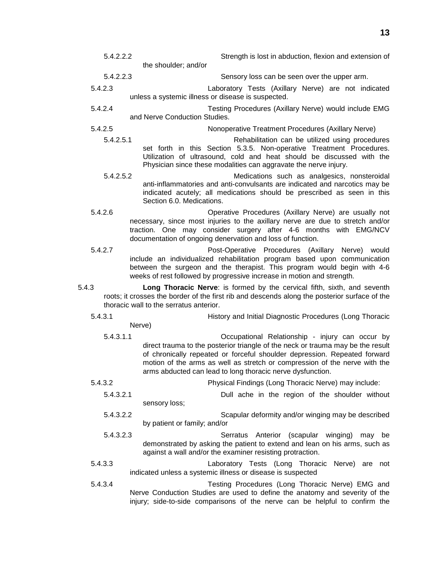| 5.4.2.2.2 |                               | Strength is lost in abduction, flexion and extension of                                                                                                                                                                                                                   |
|-----------|-------------------------------|---------------------------------------------------------------------------------------------------------------------------------------------------------------------------------------------------------------------------------------------------------------------------|
|           | the shoulder; and/or          |                                                                                                                                                                                                                                                                           |
| 5.4.2.2.3 |                               | Sensory loss can be seen over the upper arm.                                                                                                                                                                                                                              |
| 5.4.2.3   |                               | Laboratory Tests (Axillary Nerve) are not indicated<br>unless a systemic illness or disease is suspected.                                                                                                                                                                 |
| 5.4.2.4   | and Nerve Conduction Studies. | Testing Procedures (Axillary Nerve) would include EMG                                                                                                                                                                                                                     |
| 5.4.2.5   |                               | Nonoperative Treatment Procedures (Axillary Nerve)                                                                                                                                                                                                                        |
| 5.4.2.5.1 |                               | Rehabilitation can be utilized using procedures<br>set forth in this Section 5.3.5. Non-operative Treatment Procedures.<br>Utilization of ultrasound, cold and heat should be discussed with the<br>Physician since these modalities can aggravate the nerve injury.      |
| 5.4.2.5.2 | Section 6.0. Medications.     | Medications such as analgesics, nonsteroidal<br>anti-inflammatories and anti-convulsants are indicated and narcotics may be<br>indicated acutely; all medications should be prescribed as seen in this                                                                    |
| 5.4.2.6   |                               | Operative Procedures (Axillary Nerve) are usually not<br>necessary, since most injuries to the axillary nerve are due to stretch and/or<br>traction. One may consider surgery after 4-6 months with EMG/NCV<br>documentation of ongoing denervation and loss of function. |
| - -       |                               |                                                                                                                                                                                                                                                                           |

- 5.4.2.7 Post-Operative Procedures (Axillary Nerve) would include an individualized rehabilitation program based upon communication between the surgeon and the therapist. This program would begin with 4-6 weeks of rest followed by progressive increase in motion and strength.
- 5.4.3 **Long Thoracic Nerve**: is formed by the cervical fifth, sixth, and seventh roots; it crosses the border of the first rib and descends along the posterior surface of the thoracic wall to the serratus anterior.
	- 5.4.3.1 History and Initial Diagnostic Procedures (Long Thoracic Nerve)
		- 5.4.3.1.1 Occupational Relationship injury can occur by direct trauma to the posterior triangle of the neck or trauma may be the result of chronically repeated or forceful shoulder depression. Repeated forward motion of the arms as well as stretch or compression of the nerve with the arms abducted can lead to long thoracic nerve dysfunction.
	- 5.4.3.2 Physical Findings (Long Thoracic Nerve) may include:
		- 5.4.3.2.1 Dull ache in the region of the shoulder without sensory loss;
			- 5.4.3.2.2 Scapular deformity and/or winging may be described by patient or family; and/or
			- 5.4.3.2.3 Serratus Anterior (scapular winging) may be demonstrated by asking the patient to extend and lean on his arms, such as against a wall and/or the examiner resisting protraction.
	- 5.4.3.3 Laboratory Tests (Long Thoracic Nerve) are not indicated unless a systemic illness or disease is suspected
	- 5.4.3.4 Testing Procedures (Long Thoracic Nerve) EMG and Nerve Conduction Studies are used to define the anatomy and severity of the injury; side-to-side comparisons of the nerve can be helpful to confirm the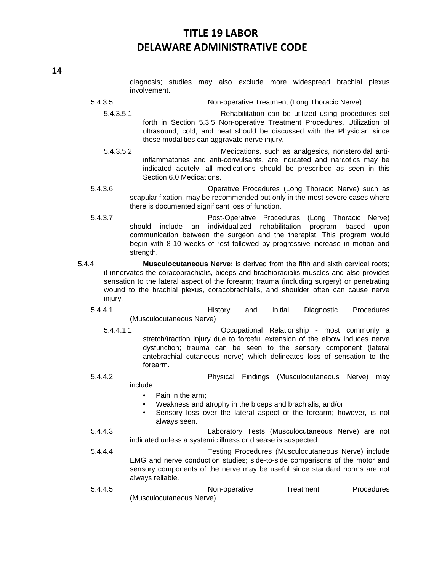diagnosis; studies may also exclude more widespread brachial plexus involvement.

- 5.4.3.5 Non-operative Treatment (Long Thoracic Nerve)
	- 5.4.3.5.1 Rehabilitation can be utilized using procedures set forth in Section 5.3.5 Non-operative Treatment Procedures. Utilization of ultrasound, cold, and heat should be discussed with the Physician since these modalities can aggravate nerve injury.
	- 5.4.3.5.2 Medications, such as analgesics, nonsteroidal antiinflammatories and anti-convulsants, are indicated and narcotics may be indicated acutely; all medications should be prescribed as seen in this Section 6.0 Medications.
- 5.4.3.6 Operative Procedures (Long Thoracic Nerve) such as scapular fixation, may be recommended but only in the most severe cases where there is documented significant loss of function.
- 5.4.3.7 Post-Operative Procedures (Long Thoracic Nerve) should include an individualized rehabilitation program based upon communication between the surgeon and the therapist. This program would begin with 8-10 weeks of rest followed by progressive increase in motion and strength.
- 5.4.4 **Musculocutaneous Nerve:** is derived from the fifth and sixth cervical roots; it innervates the coracobrachialis, biceps and brachioradialis muscles and also provides sensation to the lateral aspect of the forearm; trauma (including surgery) or penetrating wound to the brachial plexus, coracobrachialis, and shoulder often can cause nerve injury.
	- 5.4.4.1 History and Initial Diagnostic Procedures (Musculocutaneous Nerve)
		- 5.4.4.1.1 Occupational Relationship most commonly a stretch/traction injury due to forceful extension of the elbow induces nerve dysfunction; trauma can be seen to the sensory component (lateral antebrachial cutaneous nerve) which delineates loss of sensation to the forearm.
	- 5.4.4.2 Physical Findings (Musculocutaneous Nerve) may include:
		- Pain in the arm;
		- Weakness and atrophy in the biceps and brachialis; and/or
		- Sensory loss over the lateral aspect of the forearm; however, is not always seen.
	- 5.4.4.3 Laboratory Tests (Musculocutaneous Nerve) are not indicated unless a systemic illness or disease is suspected.
	- 5.4.4.4 Testing Procedures (Musculocutaneous Nerve) include EMG and nerve conduction studies; side-to-side comparisons of the motor and sensory components of the nerve may be useful since standard norms are not always reliable.
	- 5.4.4.5 Non-operative Treatment Procedures (Musculocutaneous Nerve)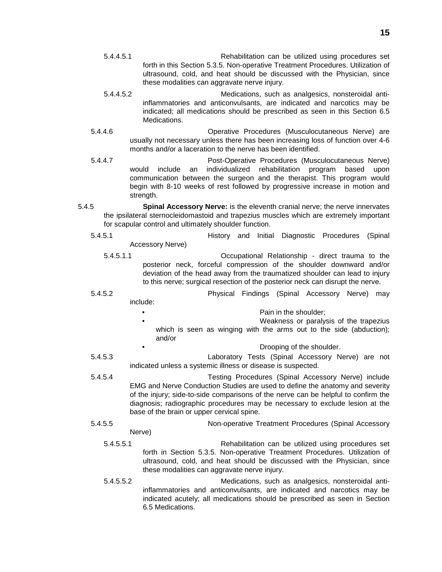- 5.4.4.5.1 Rehabilitation can be utilized using procedures set forth in this Section 5.3.5. Non-operative Treatment Procedures. Utilization of ultrasound, cold, and heat should be discussed with the Physician, since these modalities can aggravate nerve injury.
- 5.4.4.5.2 Medications, such as analgesics, nonsteroidal antiinflammatories and anticonvulsants, are indicated and narcotics may be indicated; all medications should be prescribed as seen in this Section 6.5 Medications.
- 5.4.4.6 Operative Procedures (Musculocutaneous Nerve) are usually not necessary unless there has been increasing loss of function over 4-6 months and/or a laceration to the nerve has been identified.
- 5.4.4.7 Post-Operative Procedures (Musculocutaneous Nerve) would include an individualized rehabilitation program based upon communication between the surgeon and the therapist. This program would begin with 8-10 weeks of rest followed by progressive increase in motion and strength.
- 5.4.5 **Spinal Accessory Nerve:** is the eleventh cranial nerve; the nerve innervates the ipsilateral sternocleidomastoid and trapezius muscles which are extremely important for scapular control and ultimately shoulder function.
	- 5.4.5.1 History and Initial Diagnostic Procedures (Spinal Accessory Nerve)
		- 5.4.5.1.1 Occupational Relationship direct trauma to the posterior neck, forceful compression of the shoulder downward and/or deviation of the head away from the traumatized shoulder can lead to injury to this nerve; surgical resection of the posterior neck can disrupt the nerve.
	- 5.4.5.2 Physical Findings (Spinal Accessory Nerve) may include:
		- Pain in the shoulder:
		- Weakness or paralysis of the trapezius which is seen as winging with the arms out to the side (abduction); and/or
			- Drooping of the shoulder.
	- 5.4.5.3 Laboratory Tests (Spinal Accessory Nerve) are not indicated unless a systemic illness or disease is suspected.
	- 5.4.5.4 Testing Procedures (Spinal Accessory Nerve) include EMG and Nerve Conduction Studies are used to define the anatomy and severity of the injury; side-to-side comparisons of the nerve can be helpful to confirm the diagnosis; radiographic procedures may be necessary to exclude lesion at the base of the brain or upper cervical spine.
	- 5.4.5.5 Non-operative Treatment Procedures (Spinal Accessory Nerve)
		- 5.4.5.5.1 Rehabilitation can be utilized using procedures set forth in Section 5.3.5. Non-operative Treatment Procedures. Utilization of ultrasound, cold, and heat should be discussed with the Physician, since these modalities can aggravate nerve injury.
		- 5.4.5.5.2 Medications, such as analgesics, nonsteroidal antiinflammatories and anticonvulsants, are indicated and narcotics may be indicated acutely; all medications should be prescribed as seen in Section 6.5 Medications.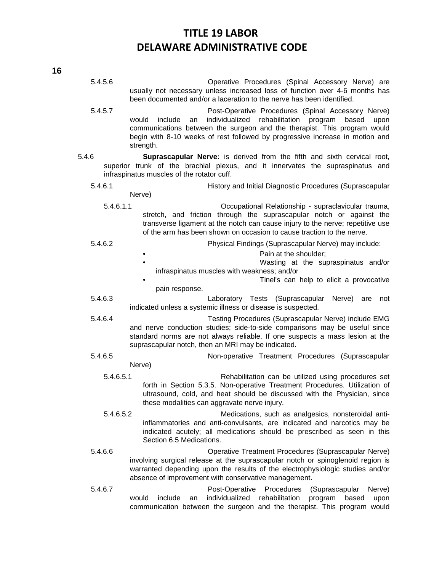**16**

5.4.5.6 Operative Procedures (Spinal Accessory Nerve) are usually not necessary unless increased loss of function over 4-6 months has been documented and/or a laceration to the nerve has been identified. 5.4.5.7 Post-Operative Procedures (Spinal Accessory Nerve) would include an individualized rehabilitation program based upon communications between the surgeon and the therapist. This program would begin with 8-10 weeks of rest followed by progressive increase in motion and strength. 5.4.6 **Suprascapular Nerve:** is derived from the fifth and sixth cervical root, superior trunk of the brachial plexus, and it innervates the supraspinatus and infraspinatus muscles of the rotator cuff. 5.4.6.1 History and Initial Diagnostic Procedures (Suprascapular Nerve) 5.4.6.1.1 Occupational Relationship - supraclavicular trauma, stretch, and friction through the suprascapular notch or against the transverse ligament at the notch can cause injury to the nerve; repetitive use of the arm has been shown on occasion to cause traction to the nerve. 5.4.6.2 Physical Findings (Suprascapular Nerve) may include: Pain at the shoulder: • Wasting at the supraspinatus and/or infraspinatus muscles with weakness; and/or • Tinel's can help to elicit a provocative pain response. 5.4.6.3 Laboratory Tests (Suprascapular Nerve) are not indicated unless a systemic illness or disease is suspected. 5.4.6.4 Testing Procedures (Suprascapular Nerve) include EMG and nerve conduction studies; side-to-side comparisons may be useful since standard norms are not always reliable. If one suspects a mass lesion at the suprascapular notch, then an MRI may be indicated. 5.4.6.5 Non-operative Treatment Procedures (Suprascapular Nerve) 5.4.6.5.1 Rehabilitation can be utilized using procedures set forth in Section 5.3.5. Non-operative Treatment Procedures. Utilization of ultrasound, cold, and heat should be discussed with the Physician, since these modalities can aggravate nerve injury. 5.4.6.5.2 Medications, such as analgesics, nonsteroidal antiinflammatories and anti-convulsants, are indicated and narcotics may be indicated acutely; all medications should be prescribed as seen in this Section 6.5 Medications. 5.4.6.6 Operative Treatment Procedures (Suprascapular Nerve) involving surgical release at the suprascapular notch or spinoglenoid region is warranted depending upon the results of the electrophysiologic studies and/or absence of improvement with conservative management. 5.4.6.7 Post-Operative Procedures (Suprascapular Nerve) would include an individualized rehabilitation program based upon communication between the surgeon and the therapist. This program would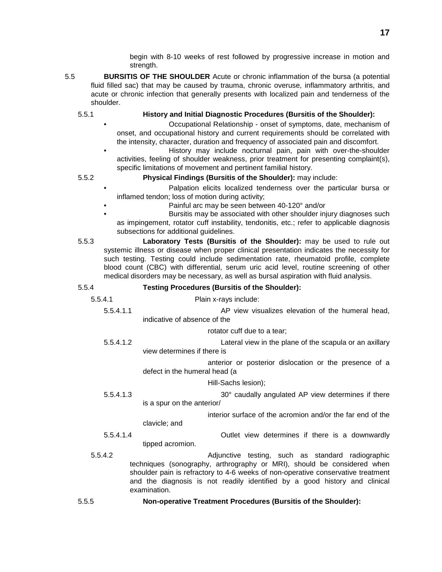begin with 8-10 weeks of rest followed by progressive increase in motion and strength.

- 5.5 **BURSITIS OF THE SHOULDER** Acute or chronic inflammation of the bursa (a potential fluid filled sac) that may be caused by trauma, chronic overuse, inflammatory arthritis, and acute or chronic infection that generally presents with localized pain and tenderness of the shoulder.
	- 5.5.1 **History and Initial Diagnostic Procedures (Bursitis of the Shoulder):**
		- Occupational Relationship onset of symptoms, date, mechanism of onset, and occupational history and current requirements should be correlated with the intensity, character, duration and frequency of associated pain and discomfort.
		- History may include nocturnal pain, pain with over-the-shoulder activities, feeling of shoulder weakness, prior treatment for presenting complaint(s), specific limitations of movement and pertinent familial history.
	- 5.5.2 **Physical Findings (Bursitis of the Shoulder):** may include:
		- Palpation elicits localized tenderness over the particular bursa or inflamed tendon; loss of motion during activity;
			- Painful arc may be seen between 40-120° and/or
		- Bursitis may be associated with other shoulder injury diagnoses such as impingement, rotator cuff instability, tendonitis, etc.; refer to applicable diagnosis subsections for additional guidelines.
	- 5.5.3 **Laboratory Tests (Bursitis of the Shoulder):** may be used to rule out systemic illness or disease when proper clinical presentation indicates the necessity for such testing. Testing could include sedimentation rate, rheumatoid profile, complete blood count (CBC) with differential, serum uric acid level, routine screening of other medical disorders may be necessary, as well as bursal aspiration with fluid analysis.

### 5.5.4 **Testing Procedures (Bursitis of the Shoulder):**

- 5.5.4.1 Plain x-rays include:
	- 5.5.4.1.1 AP view visualizes elevation of the humeral head, indicative of absence of the

rotator cuff due to a tear;

5.5.4.1.2 Lateral view in the plane of the scapula or an axillary view determines if there is

> anterior or posterior dislocation or the presence of a defect in the humeral head (a

> > Hill-Sachs lesion);

5.5.4.1.3 **30° caudally angulated AP view determines if there** is a spur on the anterior/

> interior surface of the acromion and/or the far end of the clavicle; and

- 5.5.4.1.4 Outlet view determines if there is a downwardly tipped acromion.
- 5.5.4.2 Adjunctive testing, such as standard radiographic techniques (sonography, arthrography or MRI), should be considered when shoulder pain is refractory to 4-6 weeks of non-operative conservative treatment and the diagnosis is not readily identified by a good history and clinical examination.
- 5.5.5 **Non-operative Treatment Procedures (Bursitis of the Shoulder):**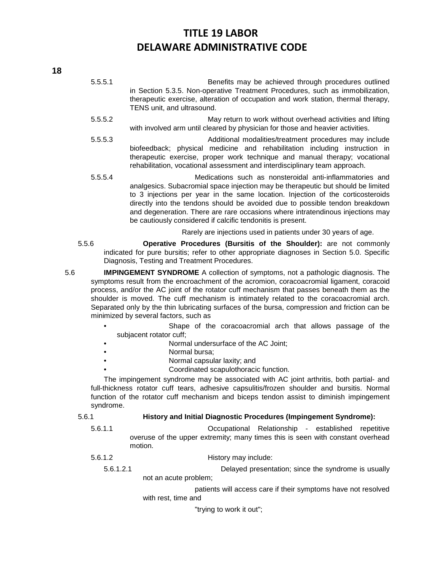- 5.5.5.1 Benefits may be achieved through procedures outlined in Section 5.3.5. Non-operative Treatment Procedures, such as immobilization, therapeutic exercise, alteration of occupation and work station, thermal therapy, TENS unit, and ultrasound.
- 5.5.5.2 May return to work without overhead activities and lifting with involved arm until cleared by physician for those and heavier activities.
- 5.5.5.3 Additional modalities/treatment procedures may include biofeedback; physical medicine and rehabilitation including instruction in therapeutic exercise, proper work technique and manual therapy; vocational rehabilitation, vocational assessment and interdisciplinary team approach.
- 5.5.5.4 Medications such as nonsteroidal anti-inflammatories and analgesics. Subacromial space injection may be therapeutic but should be limited to 3 injections per year in the same location. Injection of the corticosteroids directly into the tendons should be avoided due to possible tendon breakdown and degeneration. There are rare occasions where intratendinous injections may be cautiously considered if calcific tendonitis is present.

Rarely are injections used in patients under 30 years of age.

- 5.5.6 **Operative Procedures (Bursitis of the Shoulder):** are not commonly indicated for pure bursitis; refer to other appropriate diagnoses in Section 5.0. Specific Diagnosis, Testing and Treatment Procedures.
- 5.6 **IMPINGEMENT SYNDROME** A collection of symptoms, not a pathologic diagnosis. The symptoms result from the encroachment of the acromion, coracoacromial ligament, coracoid process, and/or the AC joint of the rotator cuff mechanism that passes beneath them as the shoulder is moved. The cuff mechanism is intimately related to the coracoacromial arch. Separated only by the thin lubricating surfaces of the bursa, compression and friction can be minimized by several factors, such as
	- Shape of the coracoacromial arch that allows passage of the subjacent rotator cuff;
	- Normal undersurface of the AC Joint;
	- Normal bursa;
	- Normal capsular laxity; and
		- Coordinated scapulothoracic function.

The impingement syndrome may be associated with AC joint arthritis, both partial- and full-thickness rotator cuff tears, adhesive capsulitis/frozen shoulder and bursitis. Normal function of the rotator cuff mechanism and biceps tendon assist to diminish impingement syndrome.

5.6.1 **History and Initial Diagnostic Procedures (Impingement Syndrome):**

- 5.6.1.1 Occupational Relationship established repetitive overuse of the upper extremity; many times this is seen with constant overhead motion.
- 5.6.1.2 History may include:

5.6.1.2.1 Delayed presentation; since the syndrome is usually not an acute problem;

> patients will access care if their symptoms have not resolved with rest, time and

> > "trying to work it out";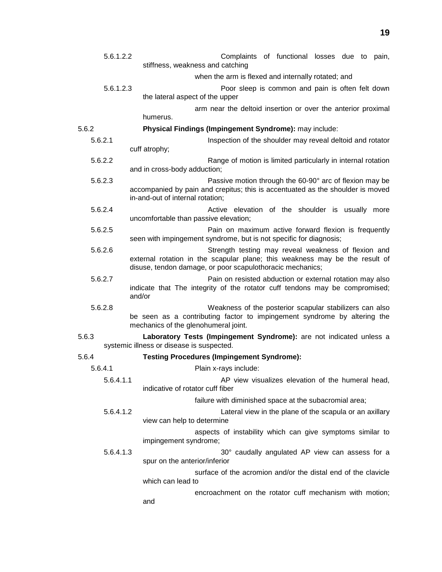| 5.6.1.2.2                                          |         | Complaints of functional losses due to pain,<br>stiffness, weakness and catching                                                         |  |  |  |
|----------------------------------------------------|---------|------------------------------------------------------------------------------------------------------------------------------------------|--|--|--|
|                                                    |         | when the arm is flexed and internally rotated; and                                                                                       |  |  |  |
| 5.6.1.2.3                                          |         | Poor sleep is common and pain is often felt down                                                                                         |  |  |  |
|                                                    |         | the lateral aspect of the upper                                                                                                          |  |  |  |
|                                                    |         | arm near the deltoid insertion or over the anterior proximal                                                                             |  |  |  |
| 5.6.2                                              |         | humerus.<br>Physical Findings (Impingement Syndrome): may include:                                                                       |  |  |  |
|                                                    | 5.6.2.1 | Inspection of the shoulder may reveal deltoid and rotator                                                                                |  |  |  |
|                                                    |         | cuff atrophy;                                                                                                                            |  |  |  |
|                                                    | 5.6.2.2 | Range of motion is limited particularly in internal rotation<br>and in cross-body adduction;                                             |  |  |  |
|                                                    | 5.6.2.3 | Passive motion through the 60-90° arc of flexion may be                                                                                  |  |  |  |
|                                                    |         | accompanied by pain and crepitus; this is accentuated as the shoulder is moved<br>in-and-out of internal rotation;                       |  |  |  |
|                                                    | 5.6.2.4 | Active elevation of the shoulder is usually more<br>uncomfortable than passive elevation;                                                |  |  |  |
|                                                    | 5.6.2.5 | Pain on maximum active forward flexion is frequently<br>seen with impingement syndrome, but is not specific for diagnosis;               |  |  |  |
|                                                    | 5.6.2.6 | Strength testing may reveal weakness of flexion and                                                                                      |  |  |  |
|                                                    |         | external rotation in the scapular plane; this weakness may be the result of<br>disuse, tendon damage, or poor scapulothoracic mechanics; |  |  |  |
|                                                    | 5.6.2.7 | Pain on resisted abduction or external rotation may also                                                                                 |  |  |  |
|                                                    |         | indicate that The integrity of the rotator cuff tendons may be compromised;<br>and/or                                                    |  |  |  |
|                                                    | 5.6.2.8 | Weakness of the posterior scapular stabilizers can also<br>be seen as a contributing factor to impingement syndrome by altering the      |  |  |  |
|                                                    |         | mechanics of the glenohumeral joint.                                                                                                     |  |  |  |
| 5.6.3<br>systemic illness or disease is suspected. |         | Laboratory Tests (Impingement Syndrome): are not indicated unless a                                                                      |  |  |  |
| 5.6.4                                              |         | <b>Testing Procedures (Impingement Syndrome):</b>                                                                                        |  |  |  |
|                                                    | 5.6.4.1 | Plain x-rays include:                                                                                                                    |  |  |  |
| 5.6.4.1.1                                          |         | AP view visualizes elevation of the humeral head,<br>indicative of rotator cuff fiber                                                    |  |  |  |
| 5.6.4.1.2                                          |         | failure with diminished space at the subacromial area;                                                                                   |  |  |  |
|                                                    |         | Lateral view in the plane of the scapula or an axillary<br>view can help to determine                                                    |  |  |  |
| 5.6.4.1.3                                          |         | aspects of instability which can give symptoms similar to<br>impingement syndrome;                                                       |  |  |  |
|                                                    |         | 30° caudally angulated AP view can assess for a<br>spur on the anterior/inferior                                                         |  |  |  |
|                                                    |         | surface of the acromion and/or the distal end of the clavicle<br>which can lead to                                                       |  |  |  |
|                                                    |         | encroachment on the rotator cuff mechanism with motion;<br>and                                                                           |  |  |  |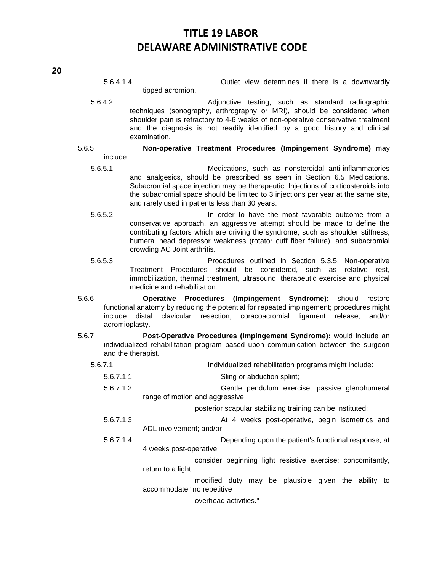5.6.4.1.4 Outlet view determines if there is a downwardly tipped acromion.

5.6.4.2 Adjunctive testing, such as standard radiographic techniques (sonography, arthrography or MRI), should be considered when shoulder pain is refractory to 4-6 weeks of non-operative conservative treatment and the diagnosis is not readily identified by a good history and clinical examination.

#### 5.6.5 **Non-operative Treatment Procedures (Impingement Syndrome)** may include:

- 5.6.5.1 Medications, such as nonsteroidal anti-inflammatories and analgesics, should be prescribed as seen in Section 6.5 Medications. Subacromial space injection may be therapeutic. Injections of corticosteroids into the subacromial space should be limited to 3 injections per year at the same site, and rarely used in patients less than 30 years.
- 5.6.5.2 In order to have the most favorable outcome from a conservative approach, an aggressive attempt should be made to define the contributing factors which are driving the syndrome, such as shoulder stiffness, humeral head depressor weakness (rotator cuff fiber failure), and subacromial crowding AC Joint arthritis.
- 5.6.5.3 Procedures outlined in Section 5.3.5. Non-operative Treatment Procedures should be considered, such as relative rest, immobilization, thermal treatment, ultrasound, therapeutic exercise and physical medicine and rehabilitation.
- 5.6.6 **Operative Procedures (Impingement Syndrome):** should restore functional anatomy by reducing the potential for repeated impingement; procedures might include distal clavicular resection, coracoacromial ligament release, and/or acromioplasty.
- 5.6.7 **Post-Operative Procedures (Impingement Syndrome):** would include an individualized rehabilitation program based upon communication between the surgeon and the therapist.
	- 5.6.7.1 Individualized rehabilitation programs might include:
		- 5.6.7.1.1 Sling or abduction splint;
		- 5.6.7.1.2 Gentle pendulum exercise, passive glenohumeral range of motion and aggressive

posterior scapular stabilizing training can be instituted;

- 5.6.7.1.3 At 4 weeks post-operative, begin isometrics and ADL involvement; and/or
- 5.6.7.1.4 Depending upon the patient's functional response, at 4 weeks post-operative

consider beginning light resistive exercise; concomitantly, return to a light

modified duty may be plausible given the ability to accommodate "no repetitive

overhead activities."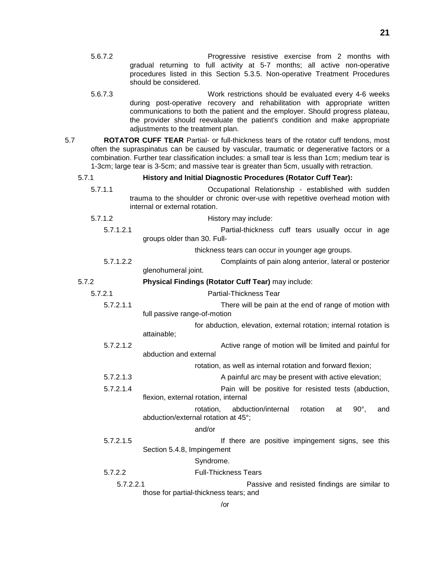**21**

- 5.6.7.2 Progressive resistive exercise from 2 months with gradual returning to full activity at 5-7 months; all active non-operative procedures listed in this Section 5.3.5. Non-operative Treatment Procedures should be considered.
- 5.6.7.3 Work restrictions should be evaluated every 4-6 weeks during post-operative recovery and rehabilitation with appropriate written communications to both the patient and the employer. Should progress plateau, the provider should reevaluate the patient's condition and make appropriate adjustments to the treatment plan.
- 5.7 **ROTATOR CUFF TEAR** Partial- or full-thickness tears of the rotator cuff tendons, most often the supraspinatus can be caused by vascular, traumatic or degenerative factors or a combination. Further tear classification includes: a small tear is less than 1cm; medium tear is 1-3cm; large tear is 3-5cm; and massive tear is greater than 5cm, usually with retraction.

#### 5.7.1 **History and Initial Diagnostic Procedures (Rotator Cuff Tear):**

- 5.7.1.1 Occupational Relationship established with sudden trauma to the shoulder or chronic over-use with repetitive overhead motion with internal or external rotation.
- 5.7.1.2 History may include:
	- 5.7.1.2.1 Partial-thickness cuff tears usually occur in age groups older than 30. Full-

thickness tears can occur in younger age groups.

- 5.7.1.2.2 Complaints of pain along anterior, lateral or posterior glenohumeral joint.
- 5.7.2 **Physical Findings (Rotator Cuff Tear)** may include:
	- - 5.7.2.1 Partial-Thickness Tear 5.7.2.1.1 There will be pain at the end of range of motion with full passive range-of-motion for abduction, elevation, external rotation; internal rotation is
			- attainable;
			- 5.7.2.1.2 Active range of motion will be limited and painful for abduction and external

rotation, as well as internal rotation and forward flexion;

- 5.7.2.1.3 A painful arc may be present with active elevation;
- 5.7.2.1.4 Pain will be positive for resisted tests (abduction, flexion, external rotation, internal
	- rotation, abduction/internal rotation at 90°, and abduction/external rotation at 45°;

#### and/or

5.7.2.1.5 If there are positive impingement signs, see this Section 5.4.8, Impingement

#### Syndrome.

- 5.7.2.2 Full-Thickness Tears
	- 5.7.2.2.1 Passive and resisted findings are similar to those for partial-thickness tears; and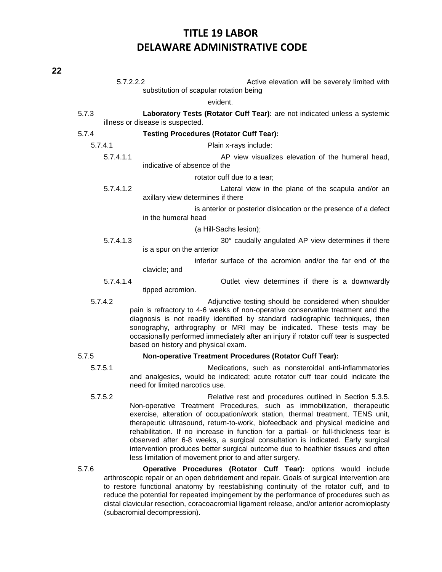| 5.7.2.2.2 | Active elevation will be severely limited with                                                                                                                                                                                                                                                                                                                                                                                   |
|-----------|----------------------------------------------------------------------------------------------------------------------------------------------------------------------------------------------------------------------------------------------------------------------------------------------------------------------------------------------------------------------------------------------------------------------------------|
|           | substitution of scapular rotation being                                                                                                                                                                                                                                                                                                                                                                                          |
|           | evident.                                                                                                                                                                                                                                                                                                                                                                                                                         |
| 5.7.3     | Laboratory Tests (Rotator Cuff Tear): are not indicated unless a systemic<br>illness or disease is suspected.                                                                                                                                                                                                                                                                                                                    |
| 5.7.4     | <b>Testing Procedures (Rotator Cuff Tear):</b>                                                                                                                                                                                                                                                                                                                                                                                   |
| 5.7.4.1   | Plain x-rays include:                                                                                                                                                                                                                                                                                                                                                                                                            |
| 5.7.4.1.1 | AP view visualizes elevation of the humeral head,<br>indicative of absence of the                                                                                                                                                                                                                                                                                                                                                |
|           | rotator cuff due to a tear;                                                                                                                                                                                                                                                                                                                                                                                                      |
| 5.7.4.1.2 | Lateral view in the plane of the scapula and/or an<br>axillary view determines if there                                                                                                                                                                                                                                                                                                                                          |
|           | is anterior or posterior dislocation or the presence of a defect<br>in the humeral head                                                                                                                                                                                                                                                                                                                                          |
|           | (a Hill-Sachs lesion);                                                                                                                                                                                                                                                                                                                                                                                                           |
| 5.7.4.1.3 | 30° caudally angulated AP view determines if there<br>is a spur on the anterior                                                                                                                                                                                                                                                                                                                                                  |
|           | inferior surface of the acromion and/or the far end of the<br>clavicle; and                                                                                                                                                                                                                                                                                                                                                      |
| 5.7.4.1.4 | Outlet view determines if there is a downwardly<br>tipped acromion.                                                                                                                                                                                                                                                                                                                                                              |
| 5.7.4.2   | Adjunctive testing should be considered when shoulder<br>pain is refractory to 4-6 weeks of non-operative conservative treatment and the<br>diagnosis is not readily identified by standard radiographic techniques, then<br>sonography, arthrography or MRI may be indicated. These tests may be<br>occasionally performed immediately after an injury if rotator cuff tear is suspected<br>based on history and physical exam. |
| 5.7.5     | Non-operative Treatment Procedures (Rotator Cuff Tear):                                                                                                                                                                                                                                                                                                                                                                          |

- 5.7.5.1 Medications, such as nonsteroidal anti-inflammatories and analgesics, would be indicated; acute rotator cuff tear could indicate the need for limited narcotics use.
- 5.7.5.2 Relative rest and procedures outlined in Section 5.3.5. Non-operative Treatment Procedures, such as immobilization, therapeutic exercise, alteration of occupation/work station, thermal treatment, TENS unit, therapeutic ultrasound, return-to-work, biofeedback and physical medicine and rehabilitation. If no increase in function for a partial- or full-thickness tear is observed after 6-8 weeks, a surgical consultation is indicated. Early surgical intervention produces better surgical outcome due to healthier tissues and often less limitation of movement prior to and after surgery.

5.7.6 **Operative Procedures (Rotator Cuff Tear):** options would include arthroscopic repair or an open debridement and repair. Goals of surgical intervention are to restore functional anatomy by reestablishing continuity of the rotator cuff, and to reduce the potential for repeated impingement by the performance of procedures such as distal clavicular resection, coracoacromial ligament release, and/or anterior acromioplasty (subacromial decompression).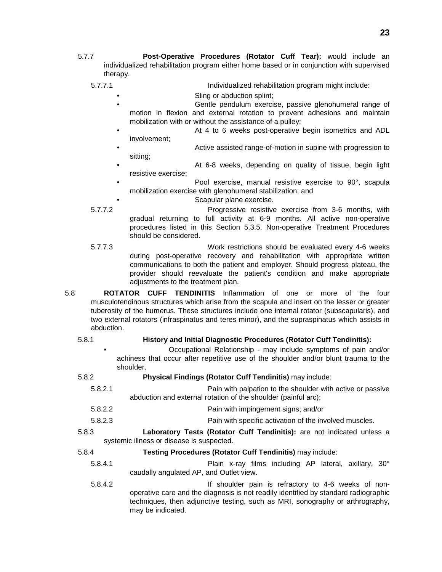- 5.7.7 **Post-Operative Procedures (Rotator Cuff Tear):** would include an individualized rehabilitation program either home based or in conjunction with supervised therapy.
	- 5.7.7.1 Individualized rehabilitation program might include:
		- Sling or abduction splint;
		- Gentle pendulum exercise, passive glenohumeral range of motion in flexion and external rotation to prevent adhesions and maintain mobilization with or without the assistance of a pulley;
		- At 4 to 6 weeks post-operative begin isometrics and ADL involvement;
		- Active assisted range-of-motion in supine with progression to sitting;
		- At 6-8 weeks, depending on quality of tissue, begin light resistive exercise;
		- Pool exercise, manual resistive exercise to 90°, scapula mobilization exercise with glenohumeral stabilization; and
			- Scapular plane exercise.
	- 5.7.7.2 Progressive resistive exercise from 3-6 months, with gradual returning to full activity at 6-9 months. All active non-operative procedures listed in this Section 5.3.5. Non-operative Treatment Procedures should be considered.
	- 5.7.7.3 Work restrictions should be evaluated every 4-6 weeks during post-operative recovery and rehabilitation with appropriate written communications to both the patient and employer. Should progress plateau, the provider should reevaluate the patient's condition and make appropriate adjustments to the treatment plan.
- 5.8 **ROTATOR CUFF TENDINITIS** Inflammation of one or more of the four musculotendinous structures which arise from the scapula and insert on the lesser or greater tuberosity of the humerus. These structures include one internal rotator (subscapularis), and two external rotators (infraspinatus and teres minor), and the supraspinatus which assists in abduction.

### 5.8.1 **History and Initial Diagnostic Procedures (Rotator Cuff Tendinitis):**

- Occupational Relationship may include symptoms of pain and/or achiness that occur after repetitive use of the shoulder and/or blunt trauma to the shoulder.
- 5.8.2 **Physical Findings (Rotator Cuff Tendinitis)** may include: 5.8.2.1 Pain with palpation to the shoulder with active or passive abduction and external rotation of the shoulder (painful arc); 5.8.2.2 Pain with impingement signs; and/or
	-
	- 5.8.2.3 Pain with specific activation of the involved muscles.
- 5.8.3 **Laboratory Tests (Rotator Cuff Tendinitis):** are not indicated unless a systemic illness or disease is suspected.
- 5.8.4 **Testing Procedures (Rotator Cuff Tendinitis)** may include:
	- 5.8.4.1 Plain x-ray films including AP lateral, axillary, 30° caudally angulated AP, and Outlet view.
	- 5.8.4.2 If shoulder pain is refractory to 4-6 weeks of nonoperative care and the diagnosis is not readily identified by standard radiographic techniques, then adjunctive testing, such as MRI, sonography or arthrography, may be indicated.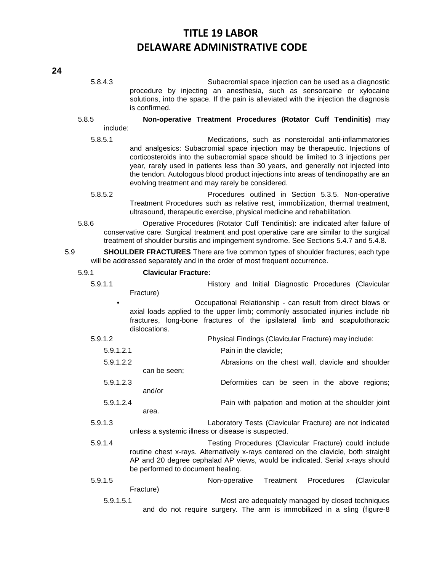5.8.4.3 Subacromial space injection can be used as a diagnostic procedure by injecting an anesthesia, such as sensorcaine or xylocaine solutions, into the space. If the pain is alleviated with the injection the diagnosis is confirmed.

### 5.8.5 **Non-operative Treatment Procedures (Rotator Cuff Tendinitis)** may include:

- 5.8.5.1 Medications, such as nonsteroidal anti-inflammatories and analgesics: Subacromial space injection may be therapeutic. Injections of corticosteroids into the subacromial space should be limited to 3 injections per year, rarely used in patients less than 30 years, and generally not injected into the tendon. Autologous blood product injections into areas of tendinopathy are an evolving treatment and may rarely be considered.
- 5.8.5.2 Procedures outlined in Section 5.3.5. Non-operative Treatment Procedures such as relative rest, immobilization, thermal treatment, ultrasound, therapeutic exercise, physical medicine and rehabilitation.
- 5.8.6 Operative Procedures (Rotator Cuff Tendinitis): are indicated after failure of conservative care. Surgical treatment and post operative care are similar to the surgical treatment of shoulder bursitis and impingement syndrome. See Sections 5.4.7 and 5.4.8.
- 5.9 **SHOULDER FRACTURES** There are five common types of shoulder fractures; each type will be addressed separately and in the order of most frequent occurrence.

#### 5.9.1 **Clavicular Fracture:**

5.9.1.1 History and Initial Diagnostic Procedures (Clavicular Fracture)

• Occupational Relationship - can result from direct blows or axial loads applied to the upper limb; commonly associated injuries include rib fractures, long-bone fractures of the ipsilateral limb and scapulothoracic dislocations.

| 5.9.1.2 | Physical Findings (Clavicular Fracture) may include: |
|---------|------------------------------------------------------|
|         |                                                      |

- 5.9.1.2.1 Pain in the clavicle;
- 5.9.1.2.2 Abrasions on the chest wall, clavicle and shoulder
- can be seen; 5.9.1.2.3 Deformities can be seen in the above regions; and/or
- 5.9.1.2.4 Pain with palpation and motion at the shoulder joint area.
- 5.9.1.3 Laboratory Tests (Clavicular Fracture) are not indicated unless a systemic illness or disease is suspected.
- 5.9.1.4 Testing Procedures (Clavicular Fracture) could include routine chest x-rays. Alternatively x-rays centered on the clavicle, both straight AP and 20 degree cephalad AP views, would be indicated. Serial x-rays should be performed to document healing.
- 5.9.1.5 Non-operative Treatment Procedures (Clavicular Fracture)
	- 5.9.1.5.1 Most are adequately managed by closed techniques and do not require surgery. The arm is immobilized in a sling (figure-8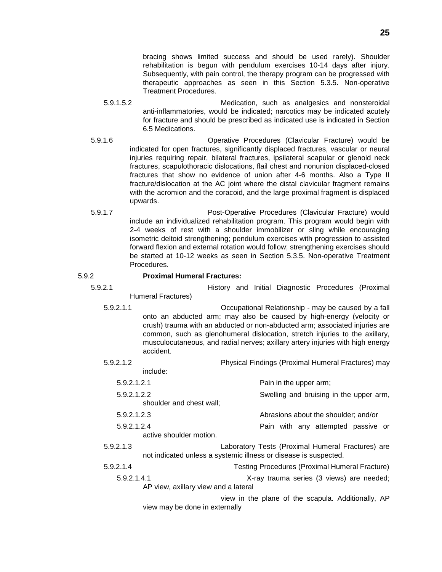bracing shows limited success and should be used rarely). Shoulder rehabilitation is begun with pendulum exercises 10-14 days after injury. Subsequently, with pain control, the therapy program can be progressed with therapeutic approaches as seen in this Section 5.3.5. Non-operative Treatment Procedures.

- 5.9.1.5.2 Medication, such as analgesics and nonsteroidal anti-inflammatories, would be indicated; narcotics may be indicated acutely for fracture and should be prescribed as indicated use is indicated in Section 6.5 Medications.
- 5.9.1.6 Operative Procedures (Clavicular Fracture) would be indicated for open fractures, significantly displaced fractures, vascular or neural injuries requiring repair, bilateral fractures, ipsilateral scapular or glenoid neck fractures, scapulothoracic dislocations, flail chest and nonunion displaced-closed fractures that show no evidence of union after 4-6 months. Also a Type II fracture/dislocation at the AC joint where the distal clavicular fragment remains with the acromion and the coracoid, and the large proximal fragment is displaced upwards.
- 5.9.1.7 Post-Operative Procedures (Clavicular Fracture) would include an individualized rehabilitation program. This program would begin with 2-4 weeks of rest with a shoulder immobilizer or sling while encouraging isometric deltoid strengthening; pendulum exercises with progression to assisted forward flexion and external rotation would follow; strengthening exercises should be started at 10-12 weeks as seen in Section 5.3.5. Non-operative Treatment Procedures.

### 5.9.2 **Proximal Humeral Fractures:**

- 5.9.2.1 History and Initial Diagnostic Procedures (Proximal
	- Humeral Fractures)
	- 5.9.2.1.1 Occupational Relationship may be caused by a fall onto an abducted arm; may also be caused by high-energy (velocity or crush) trauma with an abducted or non-abducted arm; associated injuries are common, such as glenohumeral dislocation, stretch injuries to the axillary, musculocutaneous, and radial nerves; axillary artery injuries with high energy accident.

5.9.2.1.2 Physical Findings (Proximal Humeral Fractures) may include:

- 5.9.2.1.2.1 Pain in the upper arm;
- 5.9.2.1.2.2 Swelling and bruising in the upper arm, shoulder and chest wall;
- 5.9.2.1.2.3 Abrasions about the shoulder; and/or
- 5.9.2.1.2.4 Pain with any attempted passive or active shoulder motion.
- 5.9.2.1.3 Laboratory Tests (Proximal Humeral Fractures) are not indicated unless a systemic illness or disease is suspected.
- 5.9.2.1.4 Testing Procedures (Proximal Humeral Fracture)
	- 5.9.2.1.4.1 X-ray trauma series (3 views) are needed; AP view, axillary view and a lateral

view in the plane of the scapula. Additionally, AP view may be done in externally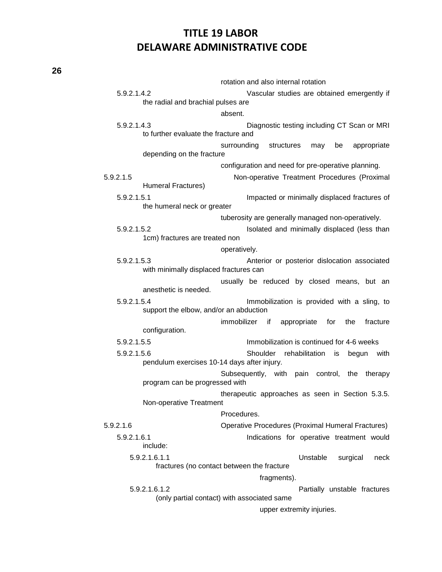|             |                                             | rotation and also internal rotation                     |
|-------------|---------------------------------------------|---------------------------------------------------------|
| 5.9.2.1.4.2 |                                             | Vascular studies are obtained emergently if             |
|             | the radial and brachial pulses are          |                                                         |
|             |                                             | absent.                                                 |
| 5.9.2.1.4.3 |                                             | Diagnostic testing including CT Scan or MRI             |
|             | to further evaluate the fracture and        |                                                         |
|             |                                             | surrounding<br>structures<br>appropriate<br>may<br>be   |
|             | depending on the fracture                   |                                                         |
|             |                                             | configuration and need for pre-operative planning.      |
| 5.9.2.1.5   |                                             | Non-operative Treatment Procedures (Proximal            |
|             | Humeral Fractures)                          |                                                         |
| 5.9.2.1.5.1 |                                             | Impacted or minimally displaced fractures of            |
|             | the humeral neck or greater                 |                                                         |
|             |                                             | tuberosity are generally managed non-operatively.       |
| 5.9.2.1.5.2 |                                             | Isolated and minimally displaced (less than             |
|             | 1cm) fractures are treated non              |                                                         |
|             |                                             | operatively.                                            |
| 5.9.2.1.5.3 |                                             | Anterior or posterior dislocation associated            |
|             | with minimally displaced fractures can      |                                                         |
|             |                                             | usually be reduced by closed means, but an              |
|             | anesthetic is needed.                       |                                                         |
| 5.9.2.1.5.4 |                                             | Immobilization is provided with a sling, to             |
|             | support the elbow, and/or an abduction      |                                                         |
|             |                                             | appropriate<br>immobilizer if<br>for<br>fracture<br>the |
|             | configuration.                              |                                                         |
| 5.9.2.1.5.5 |                                             | Immobilization is continued for 4-6 weeks               |
| 5.9.2.1.5.6 |                                             | Shoulder<br>rehabilitation<br>begun<br>with<br>is       |
|             | pendulum exercises 10-14 days after injury. |                                                         |
|             |                                             | Subsequently, with pain control, the therapy            |
|             | program can be progressed with              |                                                         |
|             | Non-operative Treatment                     | therapeutic approaches as seen in Section 5.3.5.        |
|             |                                             | Procedures.                                             |
| 5.9.2.1.6   |                                             | Operative Procedures (Proximal Humeral Fractures)       |
| 5.9.2.1.6.1 |                                             | Indications for operative treatment would               |
|             | include:                                    |                                                         |
|             | 5.9.2.1.6.1.1                               | Unstable<br>surgical<br>neck                            |
|             |                                             | fractures (no contact between the fracture              |
|             |                                             | fragments).                                             |
|             | 5.9.2.1.6.1.2                               | Partially unstable fractures                            |
|             |                                             | (only partial contact) with associated same             |
|             |                                             |                                                         |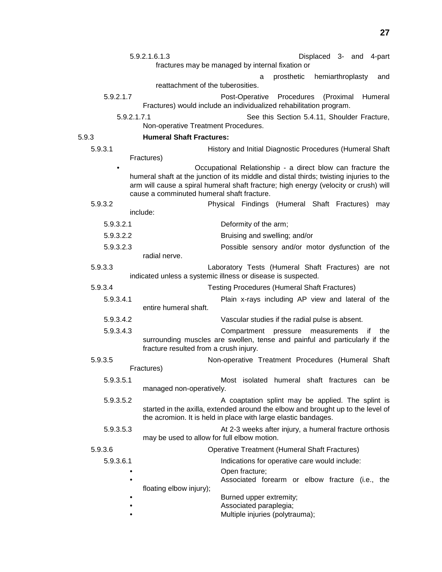|             | 5.9.2.1.6.1.3                               | Displaced 3- and 4-part                                                                                                                                                                                                                       |
|-------------|---------------------------------------------|-----------------------------------------------------------------------------------------------------------------------------------------------------------------------------------------------------------------------------------------------|
|             |                                             | fractures may be managed by internal fixation or                                                                                                                                                                                              |
|             |                                             | hemiarthroplasty<br>prosthetic<br>and<br>a                                                                                                                                                                                                    |
|             | reattachment of the tuberosities.           |                                                                                                                                                                                                                                               |
| 5.9.2.1.7   |                                             | Post-Operative Procedures<br>(Proximal<br>Humeral<br>Fractures) would include an individualized rehabilitation program.                                                                                                                       |
| 5.9.2.1.7.1 |                                             | See this Section 5.4.11, Shoulder Fracture,                                                                                                                                                                                                   |
|             | Non-operative Treatment Procedures.         |                                                                                                                                                                                                                                               |
| 5.9.3       | <b>Humeral Shaft Fractures:</b>             |                                                                                                                                                                                                                                               |
| 5.9.3.1     |                                             | History and Initial Diagnostic Procedures (Humeral Shaft                                                                                                                                                                                      |
|             | Fractures)                                  |                                                                                                                                                                                                                                               |
|             | cause a comminuted humeral shaft fracture.  | Occupational Relationship - a direct blow can fracture the<br>humeral shaft at the junction of its middle and distal thirds; twisting injuries to the<br>arm will cause a spiral humeral shaft fracture; high energy (velocity or crush) will |
| 5.9.3.2     |                                             | Physical Findings (Humeral Shaft Fractures)<br>may                                                                                                                                                                                            |
|             | include:                                    |                                                                                                                                                                                                                                               |
| 5.9.3.2.1   |                                             | Deformity of the arm;                                                                                                                                                                                                                         |
| 5.9.3.2.2   |                                             | Bruising and swelling; and/or                                                                                                                                                                                                                 |
| 5.9.3.2.3   |                                             | Possible sensory and/or motor dysfunction of the                                                                                                                                                                                              |
|             | radial nerve.                               |                                                                                                                                                                                                                                               |
| 5.9.3.3     |                                             | Laboratory Tests (Humeral Shaft Fractures) are not<br>indicated unless a systemic illness or disease is suspected.                                                                                                                            |
| 5.9.3.4     |                                             | <b>Testing Procedures (Humeral Shaft Fractures)</b>                                                                                                                                                                                           |
| 5.9.3.4.1   | entire humeral shaft.                       | Plain x-rays including AP view and lateral of the                                                                                                                                                                                             |
| 5.9.3.4.2   |                                             | Vascular studies if the radial pulse is absent.                                                                                                                                                                                               |
| 5.9.3.4.3   | fracture resulted from a crush injury.      | Compartment<br>pressure measurements<br>the<br>⊤ if<br>surrounding muscles are swollen, tense and painful and particularly if the                                                                                                             |
| 5.9.3.5     |                                             | Non-operative Treatment Procedures (Humeral Shaft                                                                                                                                                                                             |
|             | Fractures)                                  |                                                                                                                                                                                                                                               |
| 5.9.3.5.1   |                                             | Most isolated humeral shaft fractures can be                                                                                                                                                                                                  |
|             | managed non-operatively.                    |                                                                                                                                                                                                                                               |
| 5.9.3.5.2   |                                             | A coaptation splint may be applied. The splint is<br>started in the axilla, extended around the elbow and brought up to the level of<br>the acromion. It is held in place with large elastic bandages.                                        |
| 5.9.3.5.3   | may be used to allow for full elbow motion. | At 2-3 weeks after injury, a humeral fracture orthosis                                                                                                                                                                                        |
| 5.9.3.6     |                                             | <b>Operative Treatment (Humeral Shaft Fractures)</b>                                                                                                                                                                                          |
| 5.9.3.6.1   |                                             | Indications for operative care would include:                                                                                                                                                                                                 |
|             |                                             | Open fracture;<br>Associated forearm or elbow fracture (i.e., the                                                                                                                                                                             |
|             | floating elbow injury);                     | Burned upper extremity;                                                                                                                                                                                                                       |
|             |                                             | Associated paraplegia;<br>Multiple injuries (polytrauma);                                                                                                                                                                                     |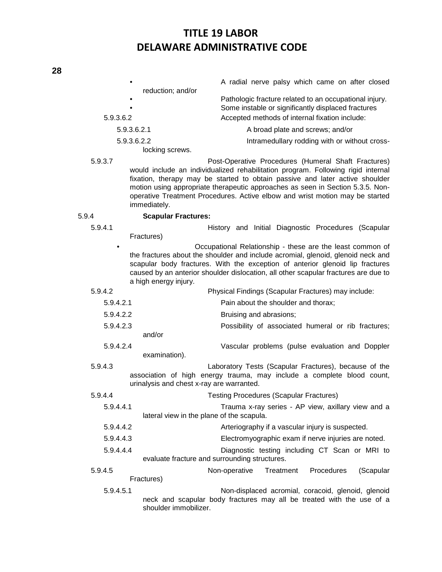## A radial nerve palsy which came on after closed reduction; and/or Pathologic fracture related to an occupational injury. Some instable or significantly displaced fractures 5.9.3.6.2 Accepted methods of internal fixation include: 5.9.3.6.2.1 A broad plate and screws; and/or 5.9.3.6.2.2 Intramedullary rodding with or without crosslocking screws. 5.9.3.7 Post-Operative Procedures (Humeral Shaft Fractures) would include an individualized rehabilitation program. Following rigid internal fixation, therapy may be started to obtain passive and later active shoulder motion using appropriate therapeutic approaches as seen in Section 5.3.5. Nonoperative Treatment Procedures. Active elbow and wrist motion may be started immediately. 5.9.4 **Scapular Fractures:** 5.9.4.1 History and Initial Diagnostic Procedures (Scapular Fractures)

• Occupational Relationship - these are the least common of the fractures about the shoulder and include acromial, glenoid, glenoid neck and scapular body fractures. With the exception of anterior glenoid lip fractures caused by an anterior shoulder dislocation, all other scapular fractures are due to a high energy injury.

- 5.9.4.2 Physical Findings (Scapular Fractures) may include: 5.9.4.2.1 Pain about the shoulder and thorax; 5.9.4.2.2 Bruising and abrasions; 5.9.4.2.3 Possibility of associated humeral or rib fractures; and/or 5.9.4.2.4 Vascular problems (pulse evaluation and Doppler
- examination). 5.9.4.3 Laboratory Tests (Scapular Fractures), because of the association of high energy trauma, may include a complete blood count,
- urinalysis and chest x-ray are warranted. 5.9.4.4 Testing Procedures (Scapular Fractures) 5.9.4.4.1 Trauma x-ray series - AP view, axillary view and a lateral view in the plane of the scapula. 5.9.4.4.2 Arteriography if a vascular injury is suspected. 5.9.4.4.3 Electromyographic exam if nerve injuries are noted. 5.9.4.4.4 Diagnostic testing including CT Scan or MRI to evaluate fracture and surrounding structures. 5.9.4.5 Non-operative Treatment Procedures (Scapular Fractures)
	- 5.9.4.5.1 Non-displaced acromial, coracoid, glenoid, glenoid neck and scapular body fractures may all be treated with the use of a shoulder immobilizer.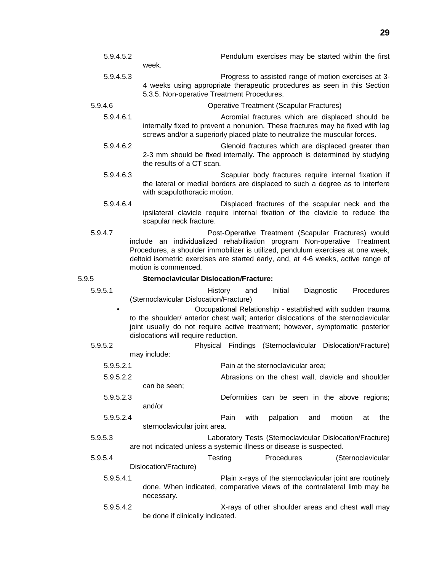| 5.9.4.5.2 | Pendulum exercises may be started within the first<br>week.                                                                                                                                                                                                                                                                     |  |  |  |  |
|-----------|---------------------------------------------------------------------------------------------------------------------------------------------------------------------------------------------------------------------------------------------------------------------------------------------------------------------------------|--|--|--|--|
| 5.9.4.5.3 | Progress to assisted range of motion exercises at 3-<br>4 weeks using appropriate therapeutic procedures as seen in this Section<br>5.3.5. Non-operative Treatment Procedures.                                                                                                                                                  |  |  |  |  |
| 5.9.4.6   | <b>Operative Treatment (Scapular Fractures)</b>                                                                                                                                                                                                                                                                                 |  |  |  |  |
| 5.9.4.6.1 | Acromial fractures which are displaced should be<br>internally fixed to prevent a nonunion. These fractures may be fixed with lag<br>screws and/or a superiorly placed plate to neutralize the muscular forces.                                                                                                                 |  |  |  |  |
| 5.9.4.6.2 | Glenoid fractures which are displaced greater than<br>2-3 mm should be fixed internally. The approach is determined by studying<br>the results of a CT scan.                                                                                                                                                                    |  |  |  |  |
| 5.9.4.6.3 | Scapular body fractures require internal fixation if<br>the lateral or medial borders are displaced to such a degree as to interfere<br>with scapulothoracic motion.                                                                                                                                                            |  |  |  |  |
| 5.9.4.6.4 | Displaced fractures of the scapular neck and the<br>ipsilateral clavicle require internal fixation of the clavicle to reduce the<br>scapular neck fracture.                                                                                                                                                                     |  |  |  |  |
| 5.9.4.7   | Post-Operative Treatment (Scapular Fractures) would<br>include an individualized rehabilitation program Non-operative Treatment<br>Procedures, a shoulder immobilizer is utilized, pendulum exercises at one week,<br>deltoid isometric exercises are started early, and, at 4-6 weeks, active range of<br>motion is commenced. |  |  |  |  |
| 5.9.5     | <b>Sternoclavicular Dislocation/Fracture:</b>                                                                                                                                                                                                                                                                                   |  |  |  |  |
| 5.9.5.1   | Initial<br>Diagnostic<br>Procedures<br><b>History</b><br>and<br>(Sternoclavicular Dislocation/Fracture)                                                                                                                                                                                                                         |  |  |  |  |
|           | Occupational Relationship - established with sudden trauma<br>to the shoulder/ anterior chest wall; anterior dislocations of the sternoclavicular<br>joint usually do not require active treatment; however, symptomatic posterior<br>dislocations will require reduction.                                                      |  |  |  |  |
| 5.9.5.2   | Physical Findings (Sternoclavicular Dislocation/Fracture)<br>may include:                                                                                                                                                                                                                                                       |  |  |  |  |
| 5.9.5.2.1 | Pain at the sternoclavicular area;                                                                                                                                                                                                                                                                                              |  |  |  |  |
| 5.9.5.2.2 | Abrasions on the chest wall, clavicle and shoulder                                                                                                                                                                                                                                                                              |  |  |  |  |
|           | can be seen;                                                                                                                                                                                                                                                                                                                    |  |  |  |  |
| 5.9.5.2.3 | Deformities can be seen in the above regions;<br>and/or                                                                                                                                                                                                                                                                         |  |  |  |  |
| 5.9.5.2.4 | Pain<br>with<br>palpation<br>motion<br>the<br>and<br>at<br>sternoclavicular joint area.                                                                                                                                                                                                                                         |  |  |  |  |
| 5.9.5.3   | Laboratory Tests (Sternoclavicular Dislocation/Fracture)<br>are not indicated unless a systemic illness or disease is suspected.                                                                                                                                                                                                |  |  |  |  |
| 5.9.5.4   | Testing<br>Procedures<br>(Sternoclavicular<br>Dislocation/Fracture)                                                                                                                                                                                                                                                             |  |  |  |  |
| 5.9.5.4.1 | Plain x-rays of the sternoclavicular joint are routinely<br>done. When indicated, comparative views of the contralateral limb may be<br>necessary.                                                                                                                                                                              |  |  |  |  |

5.9.5.4.2 X-rays of other shoulder areas and chest wall may be done if clinically indicated.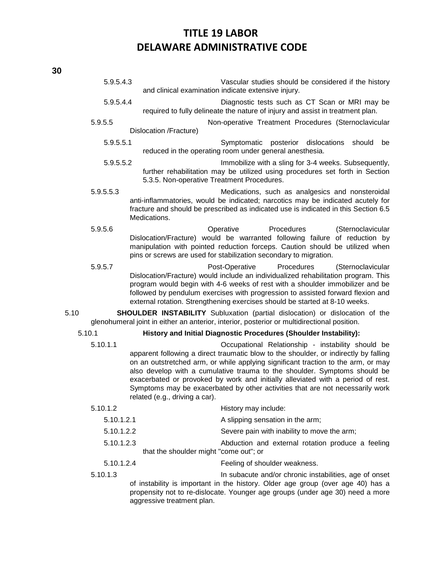|            | 5.9.5.4.3  | Vascular studies should be considered if the history<br>and clinical examination indicate extensive injury.                                                                                                                                                                                                                                                                                                                                                                                                       |  |  |  |  |
|------------|------------|-------------------------------------------------------------------------------------------------------------------------------------------------------------------------------------------------------------------------------------------------------------------------------------------------------------------------------------------------------------------------------------------------------------------------------------------------------------------------------------------------------------------|--|--|--|--|
| 5.9.5.4.4  |            | Diagnostic tests such as CT Scan or MRI may be<br>required to fully delineate the nature of injury and assist in treatment plan.                                                                                                                                                                                                                                                                                                                                                                                  |  |  |  |  |
|            | 5.9.5.5    | Non-operative Treatment Procedures (Sternoclavicular                                                                                                                                                                                                                                                                                                                                                                                                                                                              |  |  |  |  |
|            |            | Dislocation /Fracture)                                                                                                                                                                                                                                                                                                                                                                                                                                                                                            |  |  |  |  |
|            | 5.9.5.5.1  | Symptomatic posterior<br>dislocations<br>should<br>be<br>reduced in the operating room under general anesthesia.                                                                                                                                                                                                                                                                                                                                                                                                  |  |  |  |  |
|            | 5.9.5.5.2  | Immobilize with a sling for 3-4 weeks. Subsequently,<br>further rehabilitation may be utilized using procedures set forth in Section<br>5.3.5. Non-operative Treatment Procedures.                                                                                                                                                                                                                                                                                                                                |  |  |  |  |
|            | 5.9.5.5.3  | Medications, such as analgesics and nonsteroidal<br>anti-inflammatories, would be indicated; narcotics may be indicated acutely for<br>fracture and should be prescribed as indicated use is indicated in this Section 6.5<br>Medications.                                                                                                                                                                                                                                                                        |  |  |  |  |
|            | 5.9.5.6    | Operative<br>Procedures<br>(Sternoclavicular<br>Dislocation/Fracture) would be warranted following failure of reduction by<br>manipulation with pointed reduction forceps. Caution should be utilized when<br>pins or screws are used for stabilization secondary to migration.                                                                                                                                                                                                                                   |  |  |  |  |
|            | 5.9.5.7    | Post-Operative<br>Procedures<br>(Sternoclavicular<br>Dislocation/Fracture) would include an individualized rehabilitation program. This<br>program would begin with 4-6 weeks of rest with a shoulder immobilizer and be<br>followed by pendulum exercises with progression to assisted forward flexion and<br>external rotation. Strengthening exercises should be started at 8-10 weeks.                                                                                                                        |  |  |  |  |
| 5.10       |            | <b>SHOULDER INSTABILITY</b> Subluxation (partial dislocation) or dislocation of the<br>glenohumeral joint in either an anterior, interior, posterior or multidirectional position.                                                                                                                                                                                                                                                                                                                                |  |  |  |  |
| 5.10.1     |            | History and Initial Diagnostic Procedures (Shoulder Instability):                                                                                                                                                                                                                                                                                                                                                                                                                                                 |  |  |  |  |
|            | 5.10.1.1   | Occupational Relationship - instability should be<br>apparent following a direct traumatic blow to the shoulder, or indirectly by falling<br>on an outstretched arm, or while applying significant traction to the arm, or may<br>also develop with a cumulative trauma to the shoulder. Symptoms should be<br>exacerbated or provoked by work and initially alleviated with a period of rest.<br>Symptoms may be exacerbated by other activities that are not necessarily work<br>related (e.g., driving a car). |  |  |  |  |
|            | 5.10.1.2   | History may include:                                                                                                                                                                                                                                                                                                                                                                                                                                                                                              |  |  |  |  |
|            | 5.10.1.2.1 | A slipping sensation in the arm;                                                                                                                                                                                                                                                                                                                                                                                                                                                                                  |  |  |  |  |
| 5.10.1.2.2 |            | Severe pain with inability to move the arm;                                                                                                                                                                                                                                                                                                                                                                                                                                                                       |  |  |  |  |
|            | 5.10.1.2.3 | Abduction and external rotation produce a feeling<br>that the shoulder might "come out"; or                                                                                                                                                                                                                                                                                                                                                                                                                       |  |  |  |  |
|            | 5.10.1.2.4 | Feeling of shoulder weakness.                                                                                                                                                                                                                                                                                                                                                                                                                                                                                     |  |  |  |  |
|            | 5.10.1.3   | In subacute and/or chronic instabilities, age of onset                                                                                                                                                                                                                                                                                                                                                                                                                                                            |  |  |  |  |
|            |            |                                                                                                                                                                                                                                                                                                                                                                                                                                                                                                                   |  |  |  |  |

of instability is important in the history. Older age group (over age 40) has a propensity not to re-dislocate. Younger age groups (under age 30) need a more aggressive treatment plan.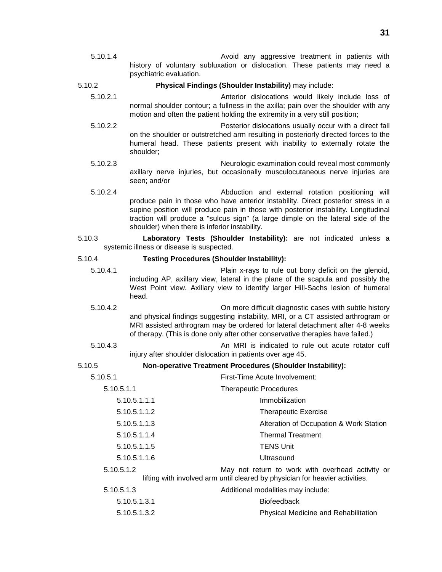5.10.1.4 Avoid any aggressive treatment in patients with history of voluntary subluxation or dislocation. These patients may need a psychiatric evaluation.

5.10.2 **Physical Findings (Shoulder Instability)** may include:

- 5.10.2.1 Anterior dislocations would likely include loss of normal shoulder contour; a fullness in the axilla; pain over the shoulder with any motion and often the patient holding the extremity in a very still position;
- 5.10.2.2 Posterior dislocations usually occur with a direct fall on the shoulder or outstretched arm resulting in posteriorly directed forces to the humeral head. These patients present with inability to externally rotate the shoulder;
- 5.10.2.3 Neurologic examination could reveal most commonly axillary nerve injuries, but occasionally musculocutaneous nerve injuries are seen; and/or
- 5.10.2.4 Abduction and external rotation positioning will produce pain in those who have anterior instability. Direct posterior stress in a supine position will produce pain in those with posterior instability. Longitudinal traction will produce a "sulcus sign" (a large dimple on the lateral side of the shoulder) when there is inferior instability.

### 5.10.3 **Laboratory Tests (Shoulder Instability):** are not indicated unless a systemic illness or disease is suspected.

#### 5.10.4 **Testing Procedures (Shoulder Instability):**

- 5.10.4.1 Plain x-rays to rule out bony deficit on the glenoid, including AP, axillary view, lateral in the plane of the scapula and possibly the West Point view. Axillary view to identify larger Hill-Sachs lesion of humeral head.
- 5.10.4.2 On more difficult diagnostic cases with subtle history and physical findings suggesting instability, MRI, or a CT assisted arthrogram or MRI assisted arthrogram may be ordered for lateral detachment after 4-8 weeks of therapy. (This is done only after other conservative therapies have failed.)
- 5.10.4.3 An MRI is indicated to rule out acute rotator cuff injury after shoulder dislocation in patients over age 45.

#### 5.10.5 **Non-operative Treatment Procedures (Shoulder Instability):**

| 5.10.5.1     | First-Time Acute Involvement:                                                                                                    |
|--------------|----------------------------------------------------------------------------------------------------------------------------------|
| 5.10.5.1.1   | <b>Therapeutic Procedures</b>                                                                                                    |
| 5.10.5.1.1.1 | Immobilization                                                                                                                   |
| 5.10.5.1.1.2 | <b>Therapeutic Exercise</b>                                                                                                      |
| 5.10.5.1.1.3 | Alteration of Occupation & Work Station                                                                                          |
| 5.10.5.1.1.4 | <b>Thermal Treatment</b>                                                                                                         |
| 5.10.5.1.1.5 | <b>TENS Unit</b>                                                                                                                 |
| 5.10.5.1.1.6 | Ultrasound                                                                                                                       |
| 5.10.5.1.2   | May not return to work with overhead activity or<br>lifting with involved arm until cleared by physician for heavier activities. |
| 5.10.5.1.3   | Additional modalities may include:                                                                                               |
| 5.10.5.1.3.1 | <b>Biofeedback</b>                                                                                                               |
| 5.10.5.1.3.2 | Physical Medicine and Rehabilitation                                                                                             |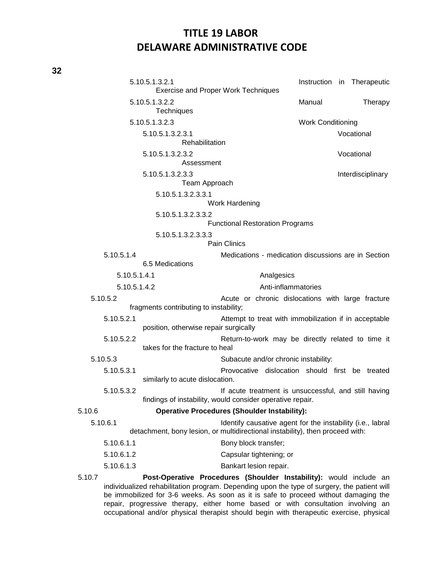|                                            | 5.10.5.1.3.2.1                         |                                                                                                                                             |                          |  | Instruction in Therapeutic |
|--------------------------------------------|----------------------------------------|---------------------------------------------------------------------------------------------------------------------------------------------|--------------------------|--|----------------------------|
| <b>Exercise and Proper Work Techniques</b> |                                        |                                                                                                                                             |                          |  |                            |
| 5.10.5.1.3.2.2<br><b>Techniques</b>        |                                        |                                                                                                                                             | Manual                   |  | Therapy                    |
|                                            | 5.10.5.1.3.2.3                         |                                                                                                                                             | <b>Work Conditioning</b> |  |                            |
|                                            | 5.10.5.1.3.2.3.1<br>Rehabilitation     |                                                                                                                                             |                          |  | Vocational                 |
|                                            | 5.10.5.1.3.2.3.2<br>Assessment         |                                                                                                                                             | Vocational               |  |                            |
|                                            | 5.10.5.1.3.2.3.3<br>Team Approach      |                                                                                                                                             |                          |  | Interdisciplinary          |
|                                            | 5.10.5.1.3.2.3.3.1                     | Work Hardening                                                                                                                              |                          |  |                            |
|                                            | 5.10.5.1.3.2.3.3.2                     |                                                                                                                                             |                          |  |                            |
|                                            |                                        | <b>Functional Restoration Programs</b>                                                                                                      |                          |  |                            |
|                                            | 5.10.5.1.3.2.3.3.3                     | <b>Pain Clinics</b>                                                                                                                         |                          |  |                            |
| 5.10.5.1.4                                 |                                        | Medications - medication discussions are in Section                                                                                         |                          |  |                            |
|                                            | 6.5 Medications                        |                                                                                                                                             |                          |  |                            |
| 5.10.5.1.4.1                               |                                        | Analgesics                                                                                                                                  |                          |  |                            |
| 5.10.5.1.4.2                               |                                        | Anti-inflammatories                                                                                                                         |                          |  |                            |
| 5.10.5.2                                   | fragments contributing to instability; | Acute or chronic dislocations with large fracture                                                                                           |                          |  |                            |
| 5.10.5.2.1                                 | position, otherwise repair surgically  | Attempt to treat with immobilization if in acceptable                                                                                       |                          |  |                            |
| 5.10.5.2.2                                 | takes for the fracture to heal         | Return-to-work may be directly related to time it                                                                                           |                          |  |                            |
| 5.10.5.3                                   |                                        | Subacute and/or chronic instability:                                                                                                        |                          |  |                            |
| 5.10.5.3.1                                 | similarly to acute dislocation.        | Provocative dislocation should first be treated                                                                                             |                          |  |                            |
| 5.10.5.3.2                                 |                                        | If acute treatment is unsuccessful, and still having                                                                                        |                          |  |                            |
|                                            |                                        | findings of instability, would consider operative repair.                                                                                   |                          |  |                            |
| 5.10.6                                     |                                        | <b>Operative Procedures (Shoulder Instability):</b>                                                                                         |                          |  |                            |
| 5.10.6.1                                   |                                        | Identify causative agent for the instability (i.e., labral<br>detachment, bony lesion, or multidirectional instability), then proceed with: |                          |  |                            |
| 5.10.6.1.1                                 |                                        | Bony block transfer;                                                                                                                        |                          |  |                            |
| 5.10.6.1.2                                 |                                        | Capsular tightening; or                                                                                                                     |                          |  |                            |
| 5.10.6.1.3                                 |                                        | Bankart lesion repair.                                                                                                                      |                          |  |                            |
| 5 10 7                                     |                                        | Post-Operative Procedures (Shoulder Instability): would include an                                                                          |                          |  |                            |

5.10.7 **Post-Operative Procedures (Shoulder Instability):** would include an individualized rehabilitation program. Depending upon the type of surgery, the patient will be immobilized for 3-6 weeks. As soon as it is safe to proceed without damaging the repair, progressive therapy, either home based or with consultation involving an occupational and/or physical therapist should begin with therapeutic exercise, physical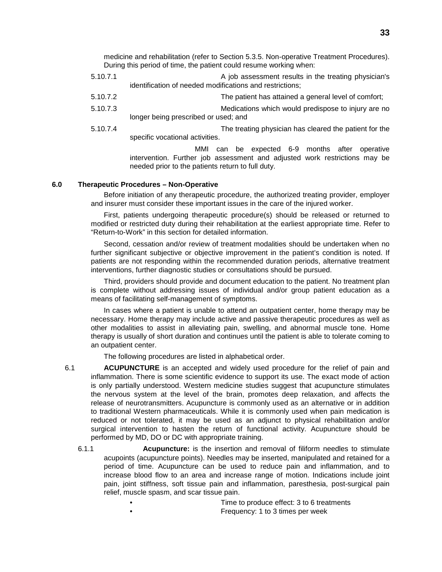medicine and rehabilitation (refer to Section 5.3.5. Non-operative Treatment Procedures). During this period of time, the patient could resume working when:

- 5.10.7.1 A job assessment results in the treating physician's identification of needed modifications and restrictions;
- 5.10.7.2 The patient has attained a general level of comfort;
- 5.10.7.3 Medications which would predispose to injury are no longer being prescribed or used; and
- 5.10.7.4 The treating physician has cleared the patient for the specific vocational activities.

MMI can be expected 6-9 months after operative intervention. Further job assessment and adjusted work restrictions may be needed prior to the patients return to full duty.

#### **6.0 Therapeutic Procedures – Non-Operative**

Before initiation of any therapeutic procedure, the authorized treating provider, employer and insurer must consider these important issues in the care of the injured worker.

First, patients undergoing therapeutic procedure(s) should be released or returned to modified or restricted duty during their rehabilitation at the earliest appropriate time. Refer to "Return-to-Work" in this section for detailed information.

Second, cessation and/or review of treatment modalities should be undertaken when no further significant subjective or objective improvement in the patient's condition is noted. If patients are not responding within the recommended duration periods, alternative treatment interventions, further diagnostic studies or consultations should be pursued.

Third, providers should provide and document education to the patient. No treatment plan is complete without addressing issues of individual and/or group patient education as a means of facilitating self-management of symptoms.

In cases where a patient is unable to attend an outpatient center, home therapy may be necessary. Home therapy may include active and passive therapeutic procedures as well as other modalities to assist in alleviating pain, swelling, and abnormal muscle tone. Home therapy is usually of short duration and continues until the patient is able to tolerate coming to an outpatient center.

The following procedures are listed in alphabetical order.

- 6.1 **ACUPUNCTURE** is an accepted and widely used procedure for the relief of pain and inflammation. There is some scientific evidence to support its use. The exact mode of action is only partially understood. Western medicine studies suggest that acupuncture stimulates the nervous system at the level of the brain, promotes deep relaxation, and affects the release of neurotransmitters. Acupuncture is commonly used as an alternative or in addition to traditional Western pharmaceuticals. While it is commonly used when pain medication is reduced or not tolerated, it may be used as an adjunct to physical rehabilitation and/or surgical intervention to hasten the return of functional activity. Acupuncture should be performed by MD, DO or DC with appropriate training.
	- 6.1.1 **Acupuncture:** is the insertion and removal of filiform needles to stimulate acupoints (acupuncture points). Needles may be inserted, manipulated and retained for a period of time. Acupuncture can be used to reduce pain and inflammation, and to increase blood flow to an area and increase range of motion. Indications include joint pain, joint stiffness, soft tissue pain and inflammation, paresthesia, post-surgical pain relief, muscle spasm, and scar tissue pain.
		- Time to produce effect: 3 to 6 treatments • Frequency: 1 to 3 times per week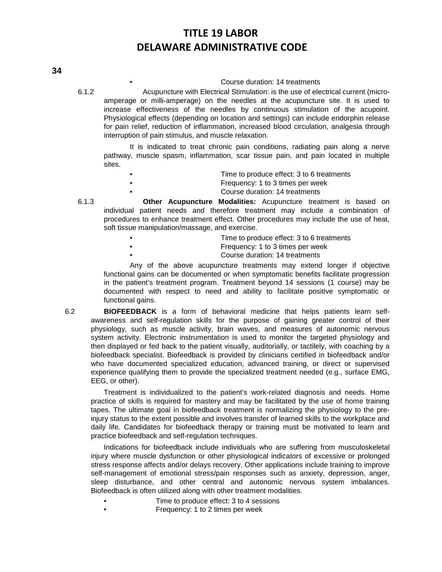#### • Course duration: 14 treatments

6.1.2 Acupuncture with Electrical Stimulation: is the use of electrical current (microamperage or milli-amperage) on the needles at the acupuncture site. It is used to increase effectiveness of the needles by continuous stimulation of the acupoint. Physiological effects (depending on location and settings) can include endorphin release for pain relief, reduction of inflammation, increased blood circulation, analgesia through interruption of pain stimulus, and muscle relaxation.

It is indicated to treat chronic pain conditions, radiating pain along a nerve pathway, muscle spasm, inflammation, scar tissue pain, and pain located in multiple sites.

| $\bullet$ | Time to produce effect: 3 to 6 treatments |
|-----------|-------------------------------------------|
| $\bullet$ | Frequency: 1 to 3 times per week          |
| $\bullet$ | Course duration: 14 treatments            |

6.1.3 **Other Acupuncture Modalities:** Acupuncture treatment is based on individual patient needs and therefore treatment may include a combination of procedures to enhance treatment effect. Other procedures may include the use of heat, soft tissue manipulation/massage, and exercise.

- Time to produce effect: 3 to 6 treatments • Frequency: 1 to 3 times per week
	- Course duration: 14 treatments

Any of the above acupuncture treatments may extend longer if objective functional gains can be documented or when symptomatic benefits facilitate progression in the patient's treatment program. Treatment beyond 14 sessions (1 course) may be documented with respect to need and ability to facilitate positive symptomatic or functional gains.

6.2 **BIOFEEDBACK** is a form of behavioral medicine that helps patients learn selfawareness and self-regulation skills for the purpose of gaining greater control of their physiology, such as muscle activity, brain waves, and measures of autonomic nervous system activity. Electronic instrumentation is used to monitor the targeted physiology and then displayed or fed back to the patient visually, auditorially, or tactilely, with coaching by a biofeedback specialist. Biofeedback is provided by clinicians certified in biofeedback and/or who have documented specialized education, advanced training, or direct or supervised experience qualifying them to provide the specialized treatment needed (e.g., surface EMG, EEG, or other).

Treatment is individualized to the patient's work-related diagnosis and needs. Home practice of skills is required for mastery and may be facilitated by the use of home training tapes. The ultimate goal in biofeedback treatment is normalizing the physiology to the preinjury status to the extent possible and involves transfer of learned skills to the workplace and daily life. Candidates for biofeedback therapy or training must be motivated to learn and practice biofeedback and self-regulation techniques.

Indications for biofeedback include individuals who are suffering from musculoskeletal injury where muscle dysfunction or other physiological indicators of excessive or prolonged stress response affects and/or delays recovery. Other applications include training to improve self-management of emotional stress/pain responses such as anxiety, depression, anger, sleep disturbance, and other central and autonomic nervous system imbalances. Biofeedback is often utilized along with other treatment modalities.

- Time to produce effect: 3 to 4 sessions
- Frequency: 1 to 2 times per week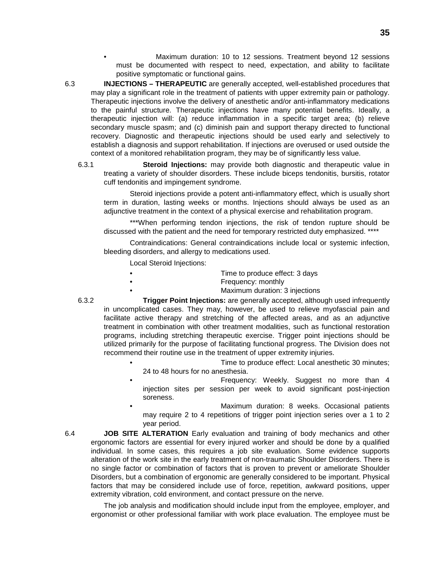- Maximum duration: 10 to 12 sessions. Treatment beyond 12 sessions must be documented with respect to need, expectation, and ability to facilitate positive symptomatic or functional gains.
- 6.3 **INJECTIONS THERAPEUTIC** are generally accepted, well-established procedures that may play a significant role in the treatment of patients with upper extremity pain or pathology. Therapeutic injections involve the delivery of anesthetic and/or anti-inflammatory medications to the painful structure. Therapeutic injections have many potential benefits. Ideally, a therapeutic injection will: (a) reduce inflammation in a specific target area; (b) relieve secondary muscle spasm; and (c) diminish pain and support therapy directed to functional recovery. Diagnostic and therapeutic injections should be used early and selectively to establish a diagnosis and support rehabilitation. If injections are overused or used outside the context of a monitored rehabilitation program, they may be of significantly less value.
	- 6.3.1 **Steroid Injections:** may provide both diagnostic and therapeutic value in treating a variety of shoulder disorders. These include biceps tendonitis, bursitis, rotator cuff tendonitis and impingement syndrome.

Steroid injections provide a potent anti-inflammatory effect, which is usually short term in duration, lasting weeks or months. Injections should always be used as an adjunctive treatment in the context of a physical exercise and rehabilitation program.

\*\*\*When performing tendon injections, the risk of tendon rupture should be discussed with the patient and the need for temporary restricted duty emphasized. \*\*\*\*

Contraindications: General contraindications include local or systemic infection, bleeding disorders, and allergy to medications used.

Local Steroid Injections:

- Time to produce effect: 3 days
- **Frequency: monthly** 
	- Maximum duration: 3 injections
- 6.3.2 **Trigger Point Injections:** are generally accepted, although used infrequently in uncomplicated cases. They may, however, be used to relieve myofascial pain and facilitate active therapy and stretching of the affected areas, and as an adjunctive treatment in combination with other treatment modalities, such as functional restoration programs, including stretching therapeutic exercise. Trigger point injections should be utilized primarily for the purpose of facilitating functional progress. The Division does not recommend their routine use in the treatment of upper extremity injuries.
	- Time to produce effect: Local anesthetic 30 minutes: 24 to 48 hours for no anesthesia.
	- Frequency: Weekly. Suggest no more than 4 injection sites per session per week to avoid significant post-injection soreness.
	- Maximum duration: 8 weeks. Occasional patients may require 2 to 4 repetitions of trigger point injection series over a 1 to 2 year period.
- 6.4 **JOB SITE ALTERATION** Early evaluation and training of body mechanics and other ergonomic factors are essential for every injured worker and should be done by a qualified individual. In some cases, this requires a job site evaluation. Some evidence supports alteration of the work site in the early treatment of non-traumatic Shoulder Disorders. There is no single factor or combination of factors that is proven to prevent or ameliorate Shoulder Disorders, but a combination of ergonomic are generally considered to be important. Physical factors that may be considered include use of force, repetition, awkward positions, upper extremity vibration, cold environment, and contact pressure on the nerve.

The job analysis and modification should include input from the employee, employer, and ergonomist or other professional familiar with work place evaluation. The employee must be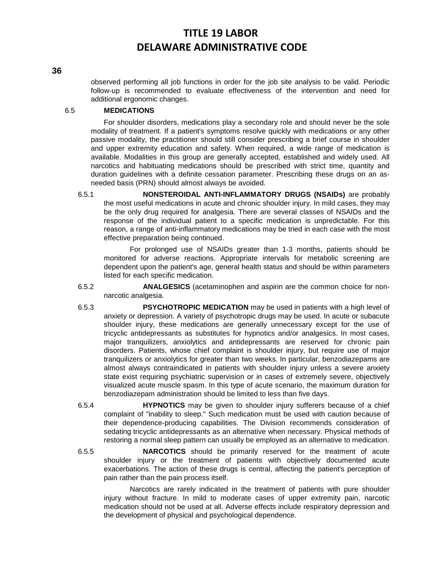#### **36**

observed performing all job functions in order for the job site analysis to be valid. Periodic follow-up is recommended to evaluate effectiveness of the intervention and need for additional ergonomic changes.

### 6.5 **MEDICATIONS**

For shoulder disorders, medications play a secondary role and should never be the sole modality of treatment. If a patient's symptoms resolve quickly with medications or any other passive modality, the practitioner should still consider prescribing a brief course in shoulder and upper extremity education and safety. When required, a wide range of medication is available. Modalities in this group are generally accepted, established and widely used. All narcotics and habituating medications should be prescribed with strict time, quantity and duration guidelines with a definite cessation parameter. Prescribing these drugs on an asneeded basis (PRN) should almost always be avoided.

6.5.1 **NONSTEROIDAL ANTI-INFLAMMATORY DRUGS (NSAIDs)** are probably the most useful medications in acute and chronic shoulder injury. In mild cases, they may be the only drug required for analgesia. There are several classes of NSAIDs and the response of the individual patient to a specific medication is unpredictable. For this reason, a range of anti-inflammatory medications may be tried in each case with the most effective preparation being continued.

For prolonged use of NSAIDs greater than 1-3 months, patients should be monitored for adverse reactions. Appropriate intervals for metabolic screening are dependent upon the patient's age, general health status and should be within parameters listed for each specific medication.

- 6.5.2 **ANALGESICS** (acetaminophen and aspirin are the common choice for nonnarcotic analgesia.
- 6.5.3 **PSYCHOTROPIC MEDICATION** may be used in patients with a high level of anxiety or depression. A variety of psychotropic drugs may be used. In acute or subacute shoulder injury, these medications are generally unnecessary except for the use of tricyclic antidepressants as substitutes for hypnotics and/or analgesics. In most cases, major tranquilizers, anxiolytics and antidepressants are reserved for chronic pain disorders. Patients, whose chief complaint is shoulder injury, but require use of major tranquilizers or anxiolytics for greater than two weeks. In particular, benzodiazepams are almost always contraindicated in patients with shoulder injury unless a severe anxiety state exist requiring psychiatric supervision or in cases of extremely severe, objectively visualized acute muscle spasm. In this type of acute scenario, the maximum duration for benzodiazepam administration should be limited to less than five days.
- 6.5.4 **HYPNOTICS** may be given to shoulder injury sufferers because of a chief complaint of "inability to sleep." Such medication must be used with caution because of their dependence-producing capabilities. The Division recommends consideration of sedating tricyclic antidepressants as an alternative when necessary. Physical methods of restoring a normal sleep pattern can usually be employed as an alternative to medication.
- 6.5.5 **NARCOTICS** should be primarily reserved for the treatment of acute shoulder injury or the treatment of patients with objectively documented acute exacerbations. The action of these drugs is central, affecting the patient's perception of pain rather than the pain process itself.

Narcotics are rarely indicated in the treatment of patients with pure shoulder injury without fracture. In mild to moderate cases of upper extremity pain, narcotic medication should not be used at all. Adverse effects include respiratory depression and the development of physical and psychological dependence.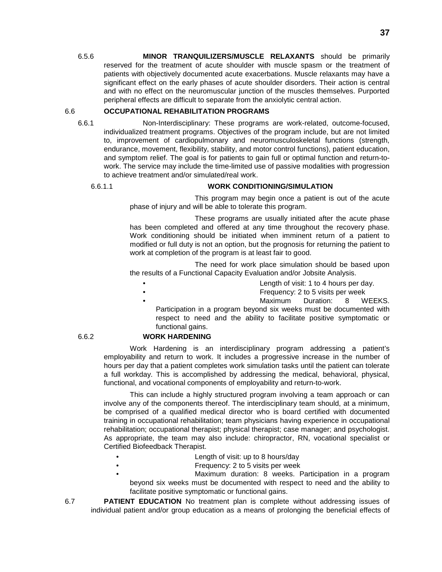6.5.6 **MINOR TRANQUILIZERS/MUSCLE RELAXANTS** should be primarily reserved for the treatment of acute shoulder with muscle spasm or the treatment of patients with objectively documented acute exacerbations. Muscle relaxants may have a significant effect on the early phases of acute shoulder disorders. Their action is central and with no effect on the neuromuscular junction of the muscles themselves. Purported peripheral effects are difficult to separate from the anxiolytic central action.

### 6.6 **OCCUPATIONAL REHABILITATION PROGRAMS**

6.6.1 Non-Interdisciplinary: These programs are work-related, outcome-focused, individualized treatment programs. Objectives of the program include, but are not limited to, improvement of cardiopulmonary and neuromusculoskeletal functions (strength, endurance, movement, flexibility, stability, and motor control functions), patient education, and symptom relief. The goal is for patients to gain full or optimal function and return-towork. The service may include the time-limited use of passive modalities with progression to achieve treatment and/or simulated/real work.

### 6.6.1.1 **WORK CONDITIONING/SIMULATION**

This program may begin once a patient is out of the acute phase of injury and will be able to tolerate this program.

These programs are usually initiated after the acute phase has been completed and offered at any time throughout the recovery phase. Work conditioning should be initiated when imminent return of a patient to modified or full duty is not an option, but the prognosis for returning the patient to work at completion of the program is at least fair to good.

The need for work place simulation should be based upon the results of a Functional Capacity Evaluation and/or Jobsite Analysis.

- Length of visit: 1 to 4 hours per day.
- Frequency: 2 to 5 visits per week
- 

Maximum Duration: 8 WEEKS.

Participation in a program beyond six weeks must be documented with respect to need and the ability to facilitate positive symptomatic or functional gains.

### 6.6.2 **WORK HARDENING**

Work Hardening is an interdisciplinary program addressing a patient's employability and return to work. It includes a progressive increase in the number of hours per day that a patient completes work simulation tasks until the patient can tolerate a full workday. This is accomplished by addressing the medical, behavioral, physical, functional, and vocational components of employability and return-to-work.

This can include a highly structured program involving a team approach or can involve any of the components thereof. The interdisciplinary team should, at a minimum, be comprised of a qualified medical director who is board certified with documented training in occupational rehabilitation; team physicians having experience in occupational rehabilitation; occupational therapist; physical therapist; case manager; and psychologist. As appropriate, the team may also include: chiropractor, RN, vocational specialist or Certified Biofeedback Therapist.

- Length of visit: up to 8 hours/day
	- Frequency: 2 to 5 visits per week
- Maximum duration: 8 weeks. Participation in a program beyond six weeks must be documented with respect to need and the ability to facilitate positive symptomatic or functional gains.

6.7 **PATIENT EDUCATION** No treatment plan is complete without addressing issues of individual patient and/or group education as a means of prolonging the beneficial effects of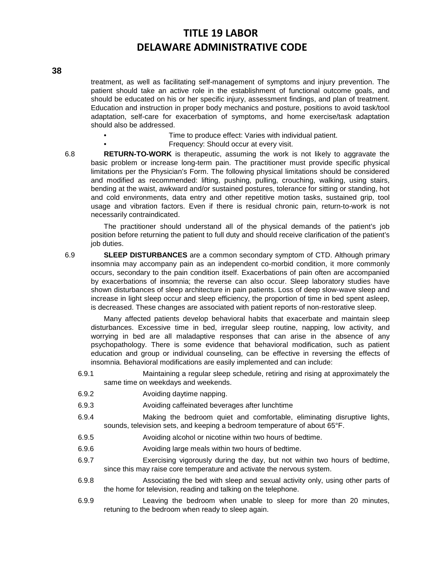**38**

treatment, as well as facilitating self-management of symptoms and injury prevention. The patient should take an active role in the establishment of functional outcome goals, and should be educated on his or her specific injury, assessment findings, and plan of treatment. Education and instruction in proper body mechanics and posture, positions to avoid task/tool adaptation, self-care for exacerbation of symptoms, and home exercise/task adaptation should also be addressed.

- Time to produce effect: Varies with individual patient.
	- Frequency: Should occur at every visit.

6.8 **RETURN-TO-WORK** is therapeutic, assuming the work is not likely to aggravate the basic problem or increase long-term pain. The practitioner must provide specific physical limitations per the Physician's Form. The following physical limitations should be considered and modified as recommended: lifting, pushing, pulling, crouching, walking, using stairs, bending at the waist, awkward and/or sustained postures, tolerance for sitting or standing, hot and cold environments, data entry and other repetitive motion tasks, sustained grip, tool usage and vibration factors. Even if there is residual chronic pain, return-to-work is not necessarily contraindicated.

The practitioner should understand all of the physical demands of the patient's job position before returning the patient to full duty and should receive clarification of the patient's job duties.

6.9 **SLEEP DISTURBANCES** are a common secondary symptom of CTD. Although primary insomnia may accompany pain as an independent co-morbid condition, it more commonly occurs, secondary to the pain condition itself. Exacerbations of pain often are accompanied by exacerbations of insomnia; the reverse can also occur. Sleep laboratory studies have shown disturbances of sleep architecture in pain patients. Loss of deep slow-wave sleep and increase in light sleep occur and sleep efficiency, the proportion of time in bed spent asleep, is decreased. These changes are associated with patient reports of non-restorative sleep.

Many affected patients develop behavioral habits that exacerbate and maintain sleep disturbances. Excessive time in bed, irregular sleep routine, napping, low activity, and worrying in bed are all maladaptive responses that can arise in the absence of any psychopathology. There is some evidence that behavioral modification, such as patient education and group or individual counseling, can be effective in reversing the effects of insomnia. Behavioral modifications are easily implemented and can include:

- 6.9.1 Maintaining a regular sleep schedule, retiring and rising at approximately the same time on weekdays and weekends.
- 6.9.2 Avoiding daytime napping.
- 6.9.3 Avoiding caffeinated beverages after lunchtime
- 6.9.4 Making the bedroom quiet and comfortable, eliminating disruptive lights, sounds, television sets, and keeping a bedroom temperature of about 65°F.
- 6.9.5 Avoiding alcohol or nicotine within two hours of bedtime.
- 6.9.6 Avoiding large meals within two hours of bedtime.
- 6.9.7 Exercising vigorously during the day, but not within two hours of bedtime, since this may raise core temperature and activate the nervous system.
- 6.9.8 Associating the bed with sleep and sexual activity only, using other parts of the home for television, reading and talking on the telephone.
- 6.9.9 Leaving the bedroom when unable to sleep for more than 20 minutes, retuning to the bedroom when ready to sleep again.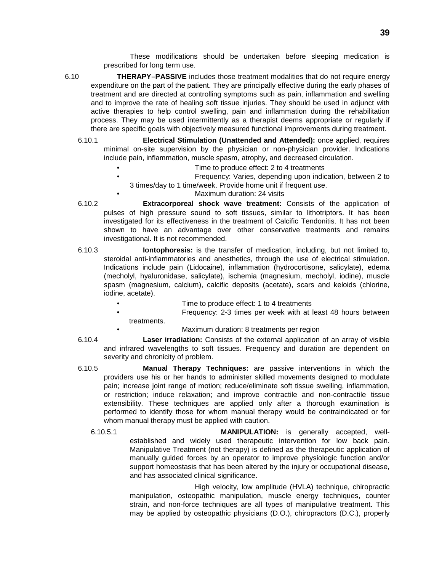These modifications should be undertaken before sleeping medication is prescribed for long term use.

- 6.10 **THERAPY–PASSIVE** includes those treatment modalities that do not require energy expenditure on the part of the patient. They are principally effective during the early phases of treatment and are directed at controlling symptoms such as pain, inflammation and swelling and to improve the rate of healing soft tissue injuries. They should be used in adjunct with active therapies to help control swelling, pain and inflammation during the rehabilitation process. They may be used intermittently as a therapist deems appropriate or regularly if there are specific goals with objectively measured functional improvements during treatment.
	- 6.10.1 **Electrical Stimulation (Unattended and Attended):** once applied, requires minimal on-site supervision by the physician or non-physician provider. Indications include pain, inflammation, muscle spasm, atrophy, and decreased circulation.
		- Time to produce effect: 2 to 4 treatments
		- Frequency: Varies, depending upon indication, between 2 to 3 times/day to 1 time/week. Provide home unit if frequent use.
			- Maximum duration: 24 visits
	- 6.10.2 **Extracorporeal shock wave treatment:** Consists of the application of pulses of high pressure sound to soft tissues, similar to lithotriptors. It has been investigated for its effectiveness in the treatment of Calcific Tendonitis. It has not been shown to have an advantage over other conservative treatments and remains investigational. It is not recommended.
	- 6.10.3 **Iontophoresis:** is the transfer of medication, including, but not limited to, steroidal anti-inflammatories and anesthetics, through the use of electrical stimulation. Indications include pain (Lidocaine), inflammation (hydrocortisone, salicylate), edema (mecholyl, hyaluronidase, salicylate), ischemia (magnesium, mecholyl, iodine), muscle spasm (magnesium, calcium), calcific deposits (acetate), scars and keloids (chlorine, iodine, acetate).
		- Time to produce effect: 1 to 4 treatments
		- Frequency: 2-3 times per week with at least 48 hours between treatments.
			- Maximum duration: 8 treatments per region
	- 6.10.4 **Laser irradiation:** Consists of the external application of an array of visible and infrared wavelengths to soft tissues. Frequency and duration are dependent on severity and chronicity of problem.
	- 6.10.5 **Manual Therapy Techniques:** are passive interventions in which the providers use his or her hands to administer skilled movements designed to modulate pain; increase joint range of motion; reduce/eliminate soft tissue swelling, inflammation, or restriction; induce relaxation; and improve contractile and non-contractile tissue extensibility. These techniques are applied only after a thorough examination is performed to identify those for whom manual therapy would be contraindicated or for whom manual therapy must be applied with caution.
		- 6.10.5.1 **MANIPULATION:** is generally accepted, wellestablished and widely used therapeutic intervention for low back pain. Manipulative Treatment (not therapy) is defined as the therapeutic application of manually guided forces by an operator to improve physiologic function and/or support homeostasis that has been altered by the injury or occupational disease, and has associated clinical significance.

High velocity, low amplitude (HVLA) technique, chiropractic manipulation, osteopathic manipulation, muscle energy techniques, counter strain, and non-force techniques are all types of manipulative treatment. This may be applied by osteopathic physicians (D.O.), chiropractors (D.C.), properly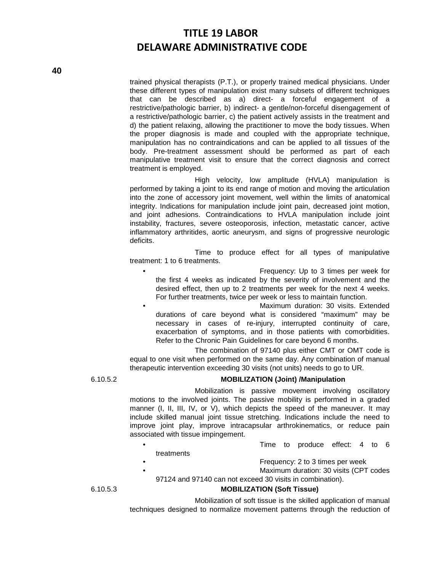trained physical therapists (P.T.), or properly trained medical physicians. Under these different types of manipulation exist many subsets of different techniques that can be described as a) direct- a forceful engagement of a restrictive/pathologic barrier, b) indirect- a gentle/non-forceful disengagement of a restrictive/pathologic barrier, c) the patient actively assists in the treatment and d) the patient relaxing, allowing the practitioner to move the body tissues. When the proper diagnosis is made and coupled with the appropriate technique, manipulation has no contraindications and can be applied to all tissues of the body. Pre-treatment assessment should be performed as part of each manipulative treatment visit to ensure that the correct diagnosis and correct treatment is employed.

High velocity, low amplitude (HVLA) manipulation is performed by taking a joint to its end range of motion and moving the articulation into the zone of accessory joint movement, well within the limits of anatomical integrity. Indications for manipulation include joint pain, decreased joint motion, and joint adhesions. Contraindications to HVLA manipulation include joint instability, fractures, severe osteoporosis, infection, metastatic cancer, active inflammatory arthritides, aortic aneurysm, and signs of progressive neurologic deficits.

Time to produce effect for all types of manipulative treatment: 1 to 6 treatments.

- Frequency: Up to 3 times per week for the first 4 weeks as indicated by the severity of involvement and the desired effect, then up to 2 treatments per week for the next 4 weeks. For further treatments, twice per week or less to maintain function.
- Maximum duration: 30 visits. Extended durations of care beyond what is considered "maximum" may be necessary in cases of re-injury, interrupted continuity of care, exacerbation of symptoms, and in those patients with comorbidities. Refer to the Chronic Pain Guidelines for care beyond 6 months.

The combination of 97140 plus either CMT or OMT code is equal to one visit when performed on the same day. Any combination of manual therapeutic intervention exceeding 30 visits (not units) needs to go to UR.

#### 6.10.5.2 **MOBILIZATION (Joint) /Manipulation**

Mobilization is passive movement involving oscillatory motions to the involved joints. The passive mobility is performed in a graded manner (I, II, III, IV, or V), which depicts the speed of the maneuver. It may include skilled manual joint tissue stretching. Indications include the need to improve joint play, improve intracapsular arthrokinematics, or reduce pain associated with tissue impingement.

- Time to produce effect: 4 to 6
- treatments

• Frequency: 2 to 3 times per week

• Maximum duration: 30 visits (CPT codes 97124 and 97140 can not exceed 30 visits in combination).

### 6.10.5.3 **MOBILIZATION (Soft Tissue)**

Mobilization of soft tissue is the skilled application of manual techniques designed to normalize movement patterns through the reduction of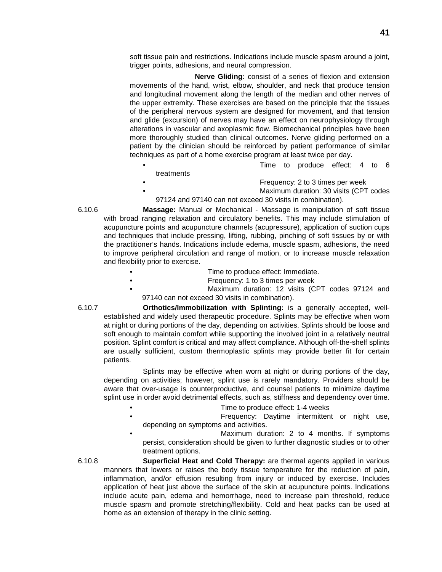soft tissue pain and restrictions. Indications include muscle spasm around a joint, trigger points, adhesions, and neural compression.

**Nerve Gliding:** consist of a series of flexion and extension movements of the hand, wrist, elbow, shoulder, and neck that produce tension and longitudinal movement along the length of the median and other nerves of the upper extremity. These exercises are based on the principle that the tissues of the peripheral nervous system are designed for movement, and that tension and glide (excursion) of nerves may have an effect on neurophysiology through alterations in vascular and axoplasmic flow. Biomechanical principles have been more thoroughly studied than clinical outcomes. Nerve gliding performed on a patient by the clinician should be reinforced by patient performance of similar techniques as part of a home exercise program at least twice per day.

- Time to produce effect: 4 to 6
- treatments
	- Frequency: 2 to 3 times per week • Maximum duration: 30 visits (CPT codes
- 97124 and 97140 can not exceed 30 visits in combination).
- 6.10.6 **Massage:** Manual or Mechanical Massage is manipulation of soft tissue with broad ranging relaxation and circulatory benefits. This may include stimulation of acupuncture points and acupuncture channels (acupressure), application of suction cups and techniques that include pressing, lifting, rubbing, pinching of soft tissues by or with the practitioner's hands. Indications include edema, muscle spasm, adhesions, the need to improve peripheral circulation and range of motion, or to increase muscle relaxation and flexibility prior to exercise.
	- Time to produce effect: Immediate.
		- Frequency: 1 to 3 times per week
	- Maximum duration: 12 visits (CPT codes 97124 and 97140 can not exceed 30 visits in combination).

6.10.7 **Orthotics/Immobilization with Splinting:** is a generally accepted, wellestablished and widely used therapeutic procedure. Splints may be effective when worn at night or during portions of the day, depending on activities. Splints should be loose and soft enough to maintain comfort while supporting the involved joint in a relatively neutral position. Splint comfort is critical and may affect compliance. Although off-the-shelf splints are usually sufficient, custom thermoplastic splints may provide better fit for certain patients.

Splints may be effective when worn at night or during portions of the day, depending on activities; however, splint use is rarely mandatory. Providers should be aware that over-usage is counterproductive, and counsel patients to minimize daytime splint use in order avoid detrimental effects, such as, stiffness and dependency over time.

- Time to produce effect: 1-4 weeks
- Frequency: Daytime intermittent or night use, depending on symptoms and activities.
- Maximum duration: 2 to 4 months. If symptoms persist, consideration should be given to further diagnostic studies or to other treatment options.

6.10.8 **Superficial Heat and Cold Therapy:** are thermal agents applied in various manners that lowers or raises the body tissue temperature for the reduction of pain, inflammation, and/or effusion resulting from injury or induced by exercise. Includes application of heat just above the surface of the skin at acupuncture points. Indications include acute pain, edema and hemorrhage, need to increase pain threshold, reduce muscle spasm and promote stretching/flexibility. Cold and heat packs can be used at home as an extension of therapy in the clinic setting.

- 
-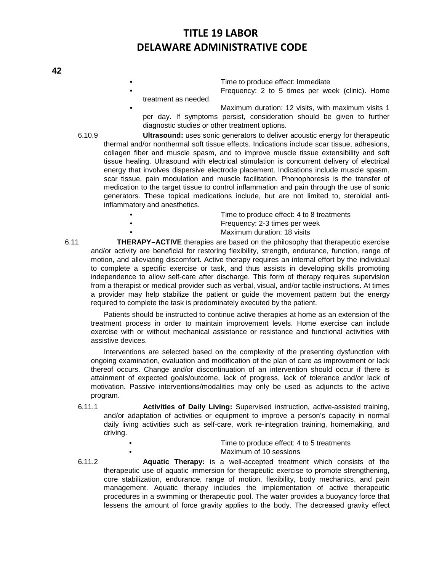- Time to produce effect: Immediate Frequency: 2 to 5 times per week (clinic). Home
- treatment as needed.

• Maximum duration: 12 visits, with maximum visits 1 per day. If symptoms persist, consideration should be given to further diagnostic studies or other treatment options.

6.10.9 **Ultrasound:** uses sonic generators to deliver acoustic energy for therapeutic thermal and/or nonthermal soft tissue effects. Indications include scar tissue, adhesions, collagen fiber and muscle spasm, and to improve muscle tissue extensibility and soft tissue healing. Ultrasound with electrical stimulation is concurrent delivery of electrical energy that involves dispersive electrode placement. Indications include muscle spasm, scar tissue, pain modulation and muscle facilitation. Phonophoresis is the transfer of medication to the target tissue to control inflammation and pain through the use of sonic generators. These topical medications include, but are not limited to, steroidal antiinflammatory and anesthetics.

| $\bullet$ | Time to produce effect: 4 to 8 treatments |
|-----------|-------------------------------------------|
| $\bullet$ | Frequency: 2-3 times per week             |
| $\bullet$ | Maximum duration: 18 visits               |
| -- ----   |                                           |

6.11 **THERAPY–ACTIVE** therapies are based on the philosophy that therapeutic exercise and/or activity are beneficial for restoring flexibility, strength, endurance, function, range of motion, and alleviating discomfort. Active therapy requires an internal effort by the individual to complete a specific exercise or task, and thus assists in developing skills promoting independence to allow self-care after discharge. This form of therapy requires supervision from a therapist or medical provider such as verbal, visual, and/or tactile instructions. At times a provider may help stabilize the patient or guide the movement pattern but the energy required to complete the task is predominately executed by the patient.

Patients should be instructed to continue active therapies at home as an extension of the treatment process in order to maintain improvement levels. Home exercise can include exercise with or without mechanical assistance or resistance and functional activities with assistive devices.

Interventions are selected based on the complexity of the presenting dysfunction with ongoing examination, evaluation and modification of the plan of care as improvement or lack thereof occurs. Change and/or discontinuation of an intervention should occur if there is attainment of expected goals/outcome, lack of progress, lack of tolerance and/or lack of motivation. Passive interventions/modalities may only be used as adjuncts to the active program.

- 6.11.1 **Activities of Daily Living:** Supervised instruction, active-assisted training, and/or adaptation of activities or equipment to improve a person's capacity in normal daily living activities such as self-care, work re-integration training, homemaking, and driving.
	- Time to produce effect: 4 to 5 treatments
		- Maximum of 10 sessions
- 6.11.2 **Aquatic Therapy:** is a well-accepted treatment which consists of the therapeutic use of aquatic immersion for therapeutic exercise to promote strengthening, core stabilization, endurance, range of motion, flexibility, body mechanics, and pain management. Aquatic therapy includes the implementation of active therapeutic procedures in a swimming or therapeutic pool. The water provides a buoyancy force that lessens the amount of force gravity applies to the body. The decreased gravity effect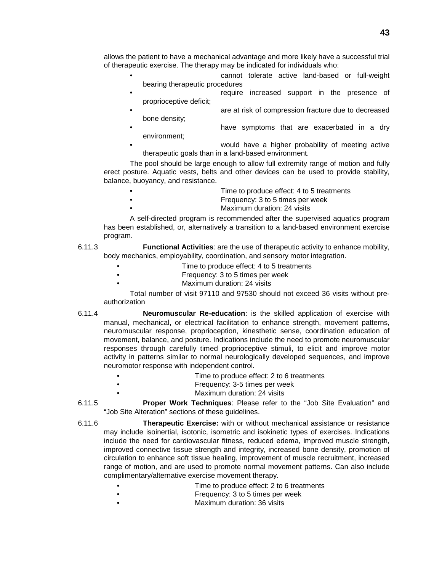allows the patient to have a mechanical advantage and more likely have a successful trial of therapeutic exercise. The therapy may be indicated for individuals who:

- cannot tolerate active land-based or full-weight bearing therapeutic procedures
- require increased support in the presence of proprioceptive deficit;
- are at risk of compression fracture due to decreased bone density;
- have symptoms that are exacerbated in a dry environment;
- would have a higher probability of meeting active therapeutic goals than in a land-based environment.

The pool should be large enough to allow full extremity range of motion and fully erect posture. Aquatic vests, belts and other devices can be used to provide stability, balance, buoyancy, and resistance.

- Time to produce effect: 4 to 5 treatments
	- Frequency: 3 to 5 times per week
		- Maximum duration: 24 visits

A self-directed program is recommended after the supervised aquatics program has been established, or, alternatively a transition to a land-based environment exercise program.

- 6.11.3 **Functional Activities**: are the use of therapeutic activity to enhance mobility, body mechanics, employability, coordination, and sensory motor integration.
	- Time to produce effect: 4 to 5 treatments
	- Frequency: 3 to 5 times per week
	- Maximum duration: 24 visits

Total number of visit 97110 and 97530 should not exceed 36 visits without preauthorization

- 6.11.4 **Neuromuscular Re-education**: is the skilled application of exercise with manual, mechanical, or electrical facilitation to enhance strength, movement patterns, neuromuscular response, proprioception, kinesthetic sense, coordination education of movement, balance, and posture. Indications include the need to promote neuromuscular responses through carefully timed proprioceptive stimuli, to elicit and improve motor activity in patterns similar to normal neurologically developed sequences, and improve neuromotor response with independent control.
	- Time to produce effect: 2 to 6 treatments
	- Frequency: 3-5 times per week
		- Maximum duration: 24 visits
- 6.11.5 **Proper Work Techniques**: Please refer to the "Job Site Evaluation" and "Job Site Alteration" sections of these guidelines.
- 6.11.6 **Therapeutic Exercise:** with or without mechanical assistance or resistance may include isoinertial, isotonic, isometric and isokinetic types of exercises. Indications include the need for cardiovascular fitness, reduced edema, improved muscle strength, improved connective tissue strength and integrity, increased bone density, promotion of circulation to enhance soft tissue healing, improvement of muscle recruitment, increased range of motion, and are used to promote normal movement patterns. Can also include complimentary/alternative exercise movement therapy.
	- Time to produce effect: 2 to 6 treatments
	- Frequency: 3 to 5 times per week
	- Maximum duration: 36 visits